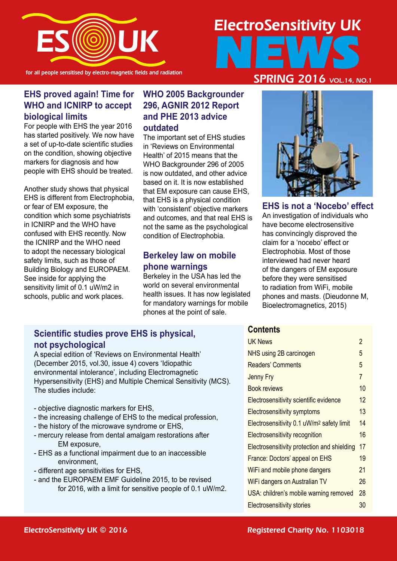

for all people sensitised by electro-magnetic fields and radiation

## ElectroSensitivity UK NEWS SPRING 2016 VOL.14, NO.1

#### **EHS proved again! Time for WHO and ICNIRP to accept biological limits**

For people with EHS the year 2016 has started positively. We now have a set of up-to-date scientific studies on the condition, showing objective markers for diagnosis and how people with EHS should be treated.

Another study shows that physical EHS is different from Electrophobia, or fear of EM exposure, the condition which some psychiatrists in ICNIRP and the WHO have confused with EHS recently. Now the ICNIRP and the WHO need to adopt the necessary biological safety limits, such as those of Building Biology and EUROPAEM. See inside for applying the sensitivity limit of 0.1 uW/m2 in schools, public and work places.

#### **WHO 2005 Backgrounder 296, AGNIR 2012 Report and PHE 2013 advice outdated**

The important set of EHS studies in 'Reviews on Environmental Health' of 2015 means that the WHO Backgrounder 296 of 2005 is now outdated, and other advice based on it. It is now established that EM exposure can cause EHS, that EHS is a physical condition with 'consistent' objective markers and outcomes, and that real EHS is not the same as the psychological condition of Electrophobia.

#### **Berkeley law on mobile phone warnings**

Berkeley in the USA has led the world on several environmental health issues. It has now legislated for mandatory warnings for mobile phones at the point of sale.



**EHS is not a 'Nocebo' effect** An investigation of individuals who

have become electrosensitive has convincingly disproved the claim for a 'nocebo' effect or Electrophobia. Most of those interviewed had never heard of the dangers of EM exposure before they were sensitised to radiation from WiFi, mobile phones and masts. (Dieudonne M, Bioelectromagnetics, 2015)

#### **Scientific studies prove EHS is physical, not psychological**

A special edition of 'Reviews on Environmental Health' (December 2015, vol.30, issue 4) covers 'Idiopathic environmental intolerance', including Electromagnetic Hypersensitivity (EHS) and Multiple Chemical Sensitivity (MCS). The studies include:

- objective diagnostic markers for EHS,
- the increasing challenge of EHS to the medical profession,
- the history of the microwave syndrome or EHS,
- mercury release from dental amalgam restorations after EM exposure,
- EHS as a functional impairment due to an inaccessible environment,
- different age sensitivities for EHS,
- and the EUROPAEM EMF Guideline 2015, to be revised for 2016, with a limit for sensitive people of 0.1 uW/m2.

#### **Contents**

| <b>UK News</b>                                        | 2              |
|-------------------------------------------------------|----------------|
| NHS using 2B carcinogen                               | 5              |
| <b>Readers' Comments</b>                              | 5              |
| <b>Jenny Fry</b>                                      | $\overline{7}$ |
| <b>Book reviews</b>                                   | 10             |
| Electrosensitivity scientific evidence                | 12             |
| <b>Electrosensitivity symptoms</b>                    | 13             |
| Electrosensitivity 0.1 uW/m <sup>2</sup> safety limit | 14             |
| Electrosensitivity recognition                        | 16             |
| Electrosensitivity protection and shielding           | 17             |
| France: Doctors' appeal on EHS                        | 19             |
| WiFi and mobile phone dangers                         | 21             |
| WiFi dangers on Australian TV                         | 26             |
| USA: children's mobile warning removed                | 28             |
| <b>Electrosensitivity stories</b>                     | 30             |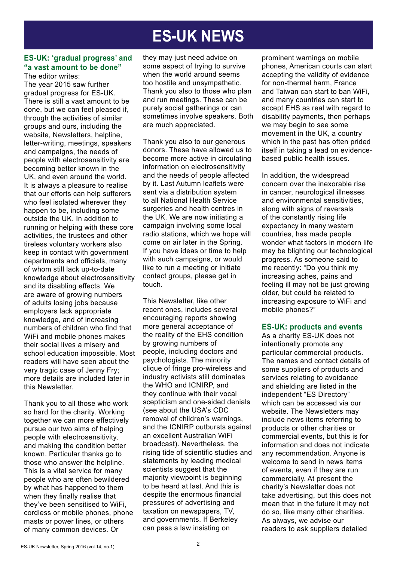## **ES-UK NEWS**

#### **ES-UK: 'gradual progress' and "a vast amount to be done"**

The editor writes: The year 2015 saw further gradual progress for ES-UK. There is still a vast amount to be done, but we can feel pleased if, through the activities of similar groups and ours, including the website, Newsletters, helpline, letter-writing, meetings, speakers and campaigns, the needs of people with electrosensitivity are becoming better known in the UK, and even around the world. It is always a pleasure to realise that our efforts can help sufferers who feel isolated wherever they happen to be, including some outside the UK. In addition to running or helping with these core activities, the trustees and other tireless voluntary workers also keep in contact with government departments and officials, many of whom still lack up-to-date knowledge about electrosensitivity and its disabling effects. We are aware of growing numbers of adults losing jobs because employers lack appropriate knowledge, and of increasing numbers of children who find that WiFi and mobile phones makes their social lives a misery and school education impossible. Most readers will have seen about the very tragic case of Jenny Fry; more details are included later in this Newsletter.

Thank you to all those who work so hard for the charity. Working together we can more effectively pursue our two aims of helping people with electrosensitivity, and making the condition better known. Particular thanks go to those who answer the helpline. This is a vital service for many people who are often bewildered by what has happened to them when they finally realise that they've been sensitised to WiFi, cordless or mobile phones, phone masts or power lines, or others of many common devices. Or

they may just need advice on some aspect of trying to survive when the world around seems too hostile and unsympathetic. Thank you also to those who plan and run meetings. These can be purely social gatherings or can sometimes involve speakers. Both are much appreciated.

Thank you also to our generous donors. These have allowed us to become more active in circulating information on electrosensitivity and the needs of people affected by it. Last Autumn leaflets were sent via a distribution system to all National Health Service surgeries and health centres in the UK. We are now initiating a campaign involving some local radio stations, which we hope will come on air later in the Spring. If you have ideas or time to help with such campaigns, or would like to run a meeting or initiate contact groups, please get in touch.

This Newsletter, like other recent ones, includes several encouraging reports showing more general acceptance of the reality of the EHS condition by growing numbers of people, including doctors and psychologists. The minority clique of fringe pro-wireless and industry activists still dominates the WHO and ICNIRP, and they continue with their vocal scepticism and one-sided denials (see about the USA's CDC removal of children's warnings, and the ICNIRP outbursts against an excellent Australian WiFi broadcast). Nevertheless, the rising tide of scientific studies and statements by leading medical scientists suggest that the majority viewpoint is beginning to be heard at last. And this is despite the enormous financial pressures of advertising and taxation on newspapers, TV, and governments. If Berkeley can pass a law insisting on

prominent warnings on mobile phones, American courts can start accepting the validity of evidence for non-thermal harm, France and Taiwan can start to ban WiFi, and many countries can start to accept EHS as real with regard to disability payments, then perhaps we may begin to see some movement in the UK, a country which in the past has often prided itself in taking a lead on evidencebased public health issues.

In addition, the widespread concern over the inexorable rise in cancer, neurological illnesses and environmental sensitivities, along with signs of reversals of the constantly rising life expectancy in many western countries, has made people wonder what factors in modern life may be blighting our technological progress. As someone said to me recently: "Do you think my increasing aches, pains and feeling ill may not be just growing older, but could be related to increasing exposure to WiFi and mobile phones?"

#### **ES-UK: products and events**

As a charity ES-UK does not intentionally promote any particular commercial products. The names and contact details of some suppliers of products and services relating to avoidance and shielding are listed in the independent "ES Directory" which can be accessed via our website. The Newsletters may include news items referring to products or other charities or commercial events, but this is for information and does not indicate any recommendation. Anyone is welcome to send in news items of events, even if they are run commercially. At present the charity's Newsletter does not take advertising, but this does not mean that in the future it may not do so, like many other charities. As always, we advise our readers to ask suppliers detailed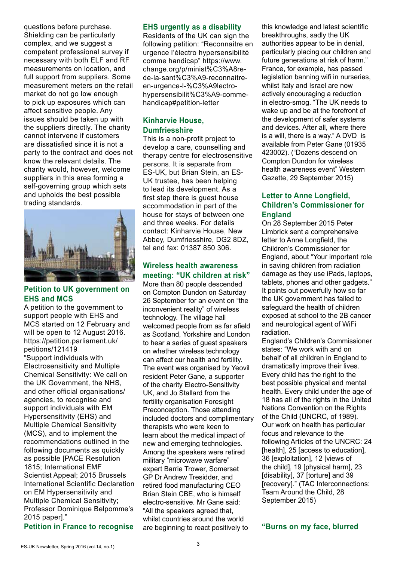questions before purchase. Shielding can be particularly complex, and we suggest a competent professional survey if necessary with both ELF and RF measurements on location, and full support from suppliers. Some measurement meters on the retail market do not go low enough to pick up exposures which can affect sensitive people. Any issues should be taken up with the suppliers directly. The charity cannot intervene if customers are dissatisfied since it is not a party to the contract and does not know the relevant details. The charity would, however, welcome suppliers in this area forming a self-governing group which sets and upholds the best possible trading standards.



#### **Petition to UK government on EHS and MCS**

A petition to the government to support people with EHS and MCS started on 12 February and will be open to 12 August 2016. https://petition.parliament.uk/ petitions/121419

"Support individuals with Electrosensitivity and Multiple Chemical Sensitivity: We call on the UK Government, the NHS, and other official organisations/ agencies, to recognise and support individuals with EM Hypersensitivity (EHS) and Multiple Chemical Sensitivity (MCS), and to implement the recommendations outlined in the following documents as quickly as possible [PACE Resolution 1815; International EMF Scientist Appeal; 2015 Brussels International Scientific Declaration on EM Hypersensitivity and Multiple Chemical Sensitivity; Professor Dominique Belpomme's 2015 paper]."

#### **Petition in France to recognise**

#### **EHS urgently as a disability**

Residents of the UK can sign the following petition: "Reconnaitre en urgence l'électro hypersensibilité comme handicap" https://www. change.org/p/minist%C3%A8rede-la-sant%C3%A9-reconnaitreen-urgence-l-%C3%A9lectrohypersensibilit%C3%A9-commehandicap#petition-letter

#### **Kinharvie House, Dumfriesshire**

This is a non-profit project to develop a care, counselling and therapy centre for electrosensitive persons. It is separate from ES-UK, but Brian Stein, an ES-UK trustee, has been helping to lead its development. As a first step there is guest house accommodation in part of the house for stays of between one and three weeks. For details contact: Kinharvie House, New Abbey, Dumfriesshire, DG2 8DZ, tel and fax: 01387 850 306.

#### **Wireless health awareness meeting: "UK children at risk"**

More than 80 people descended on Compton Dundon on Saturday 26 September for an event on "the inconvenient reality" of wireless technology. The village hall welcomed people from as far afield as Scotland, Yorkshire and London to hear a series of guest speakers on whether wireless technology can affect our health and fertility. The event was organised by Yeovil resident Peter Gane, a supporter of the charity Electro-Sensitivity UK, and Jo Stallard from the fertility organisation Foresight Preconception. Those attending included doctors and complimentary therapists who were keen to learn about the medical impact of new and emerging technologies. Among the speakers were retired military "microwave warfare" expert Barrie Trower, Somerset GP Dr Andrew Tresidder, and retired food manufacturing CEO Brian Stein CBE, who is himself electro-sensitive. Mr Gane said: "All the speakers agreed that, whilst countries around the world are beginning to react positively to

this knowledge and latest scientific breakthroughs, sadly the UK authorities appear to be in denial, particularly placing our children and future generations at risk of harm." France, for example, has passed legislation banning wifi in nurseries, whilst Italy and Israel are now actively encouraging a reduction in electro-smog. "The UK needs to wake up and be at the forefront of the development of safer systems and devices. After all, where there is a will, there is a way." A DVD is available from Peter Gane (01935 423002). ("Dozens descend on Compton Dundon for wireless health awareness event" Western Gazette, 29 September 2015)

#### **Letter to Anne Longfield, Children's Commissioner for England**

On 28 September 2015 Peter Limbrick sent a comprehensive letter to Anne Longfield, the Children's Commissioner for England, about "Your important role in saving children from radiation damage as they use iPads, laptops, tablets, phones and other gadgets." It points out powerfully how so far the UK government has failed to safeguard the health of children exposed at school to the 2B cancer and neurological agent of WiFi radiation.

England's Children's Commissioner states: "We work with and on behalf of all children in England to dramatically improve their lives. Every child has the right to the best possible physical and mental health. Every child under the age of 18 has all of the rights in the United Nations Convention on the Rights of the Child (UNCRC, of 1989). Our work on health has particular focus and relevance to the following Articles of the UNCRC: 24 [health], 25 [access to education], 36 [exploitation], 12 [views of the child], 19 [physical harm], 23 [disability], 37 [torture] and 39 [recovery]." (TAC Interconnections: Team Around the Child, 28 September 2015)

**"Burns on my face, blurred**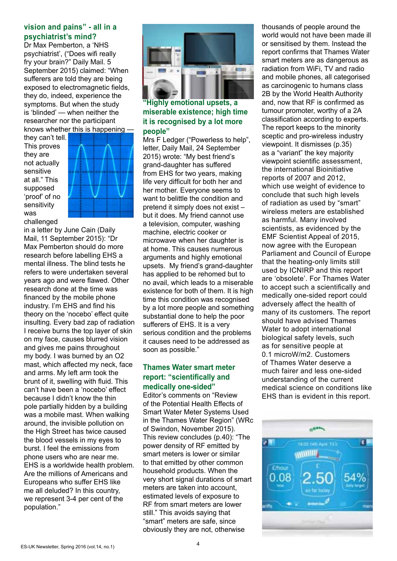#### **vision and pains" - all in a psychiatrist's mind?**

Dr Max Pemberton, a 'NHS psychiatrist', ("Does wifi really fry your brain?" Daily Mail. 5 September 2015) claimed: "When sufferers are told they are being exposed to electromagnetic fields, they do, indeed, experience the symptoms. But when the study is 'blinded' — when neither the researcher nor the participant knows whether this is happening —

they can't tell. This proves they are not actually sensitive at all." This supposed 'proof' of no sensitivity was challenged



in a letter by June Cain (Daily Mail, 11 September 2015): "Dr Max Pemberton should do more research before labelling EHS a mental illness. The blind tests he refers to were undertaken several years ago and were flawed. Other research done at the time was financed by the mobile phone industry. I'm EHS and find his theory on the 'nocebo' effect quite insulting. Every bad zap of radiation I receive burns the top layer of skin on my face, causes blurred vision and gives me pains throughout my body. I was burned by an O2 mast, which affected my neck, face and arms. My left arm took the brunt of it, swelling with fluid. This can't have been a 'nocebo' effect because I didn't know the thin pole partially hidden by a building was a mobile mast. When walking around, the invisible pollution on the High Street has twice caused the blood vessels in my eyes to burst. I feel the emissions from phone users who are near me. EHS is a worldwide health problem. Are the millions of Americans and Europeans who suffer EHS like me all deluded? In this country, we represent 3-4 per cent of the population."



#### **"Highly emotional upsets, a miserable existence; high time it is recognised by a lot more people"**

Mrs F Ledger ("Powerless to help", letter, Daily Mail, 24 September 2015) wrote: "My best friend's grand-daughter has suffered from EHS for two years, making life very difficult for both her and her mother. Everyone seems to want to belittle the condition and pretend it simply does not exist – but it does. My friend cannot use a television, computer, washing machine, electric cooker or microwave when her daughter is at home. This causes numerous arguments and highly emotional upsets. My friend's grand-daughter has applied to be rehomed but to no avail, which leads to a miserable existence for both of them. It is high time this condition was recognised by a lot more people and something substantial done to help the poor sufferers of EHS. It is a very serious condition and the problems it causes need to be addressed as soon as possible."

#### **Thames Water smart meter report: "scientifically and medically one-sided"**

Editor's comments on "Review of the Potential Health Effects of Smart Water Meter Systems Used in the Thames Water Region" (WRc of Swindon, November 2015). This review concludes (p.40): "The power density of RF emitted by smart meters is lower or similar to that emitted by other common household products. When the very short signal durations of smart meters are taken into account, estimated levels of exposure to RF from smart meters are lower still." This avoids saying that "smart" meters are safe, since obviously they are not, otherwise

thousands of people around the world would not have been made ill or sensitised by them. Instead the report confirms that Thames Water smart meters are as dangerous as radiation from WiFi, TV and radio and mobile phones, all categorised as carcinogenic to humans class 2B by the World Health Authority and, now that RF is confirmed as tumour promoter, worthy of a 2A classification according to experts. The report keeps to the minority sceptic and pro-wireless industry viewpoint. It dismisses (p.35) as a "variant" the key majority viewpoint scientific assessment, the international Bioinitiative reports of 2007 and 2012, which use weight of evidence to conclude that such high levels of radiation as used by "smart" wireless meters are established as harmful. Many involved scientists, as evidenced by the EMF Scientist Appeal of 2015, now agree with the European Parliament and Council of Europe that the heating-only limits still used by ICNIRP and this report are 'obsolete'. For Thames Water to accept such a scientifically and medically one-sided report could adversely affect the health of many of its customers. The report should have advised Thames Water to adopt international biological safety levels, such as for sensitive people at 0.1 microW/m2. Customers of Thames Water deserve a much fairer and less one-sided understanding of the current medical science on conditions like EHS than is evident in this report.

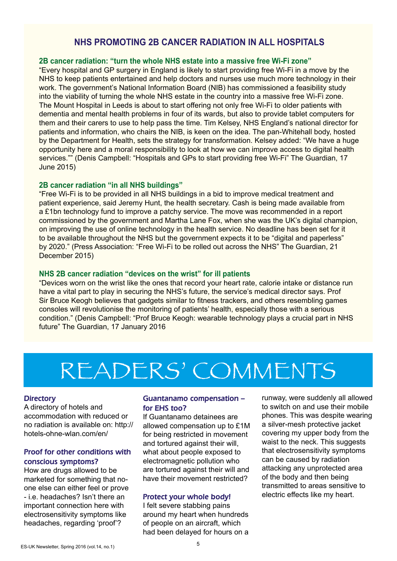#### **NHS PROMOTING 2B CANCER RADIATION IN ALL HOSPITALS**

#### **2B cancer radiation: "turn the whole NHS estate into a massive free Wi-Fi zone"**

"Every hospital and GP surgery in England is likely to start providing free Wi-Fi in a move by the NHS to keep patients entertained and help doctors and nurses use much more technology in their work. The government's National Information Board (NIB) has commissioned a feasibility study into the viability of turning the whole NHS estate in the country into a massive free Wi-Fi zone. The Mount Hospital in Leeds is about to start offering not only free Wi-Fi to older patients with dementia and mental health problems in four of its wards, but also to provide tablet computers for them and their carers to use to help pass the time. Tim Kelsey, NHS England's national director for patients and information, who chairs the NIB, is keen on the idea. The pan-Whitehall body, hosted by the Department for Health, sets the strategy for transformation. Kelsey added: "We have a huge opportunity here and a moral responsibility to look at how we can improve access to digital health services."" (Denis Campbell: "Hospitals and GPs to start providing free Wi-Fi" The Guardian, 17 June 2015)

#### **2B cancer radiation "in all NHS buildings"**

"Free Wi-Fi is to be provided in all NHS buildings in a bid to improve medical treatment and patient experience, said Jeremy Hunt, the health secretary. Cash is being made available from a £1bn technology fund to improve a patchy service. The move was recommended in a report commissioned by the government and Martha Lane Fox, when she was the UK's digital champion, on improving the use of online technology in the health service. No deadline has been set for it to be available throughout the NHS but the government expects it to be "digital and paperless" by 2020." (Press Association: "Free Wi-Fi to be rolled out across the NHS" The Guardian, 21 December 2015)

#### **NHS 2B cancer radiation "devices on the wrist" for ill patients**

"Devices worn on the wrist like the ones that record your heart rate, calorie intake or distance run have a vital part to play in securing the NHS's future, the service's medical director says. Prof Sir Bruce Keogh believes that gadgets similar to fitness trackers, and others resembling games consoles will revolutionise the monitoring of patients' health, especially those with a serious condition." (Denis Campbell: "Prof Bruce Keogh: wearable technology plays a crucial part in NHS future" The Guardian, 17 January 2016

## READERS' COMMENTS

#### **Directory**

A directory of hotels and accommodation with reduced or no radiation is available on: http:// hotels-ohne-wlan.com/en/

#### Proof for other conditions with conscious symptoms?

How are drugs allowed to be marketed for something that noone else can either feel or prove - i.e. headaches? Isn't there an important connection here with electrosensitivity symptoms like headaches, regarding 'proof'?

#### Guantanamo compensation – for EHS too?

If Guantanamo detainees are allowed compensation up to £1M for being restricted in movement and tortured against their will, what about people exposed to electromagnetic pollution who are tortured against their will and have their movement restricted?

#### Protect your whole body!

I felt severe stabbing pains around my heart when hundreds of people on an aircraft, which had been delayed for hours on a

runway, were suddenly all allowed to switch on and use their mobile phones. This was despite wearing a silver-mesh protective jacket covering my upper body from the waist to the neck. This suggests that electrosensitivity symptoms can be caused by radiation attacking any unprotected area of the body and then being transmitted to areas sensitive to electric effects like my heart.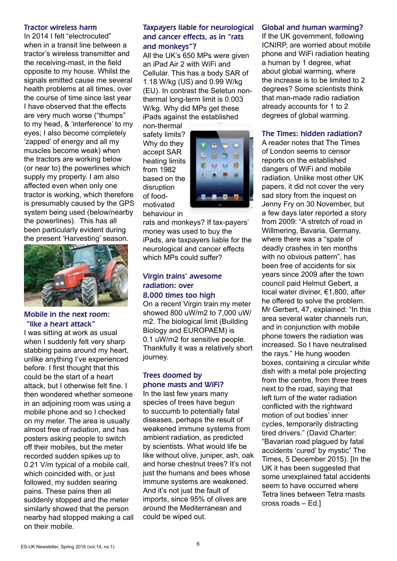#### Tractor wireless harm

In 2014 I felt "electrocuted" when in a transit line between a tractor's wireless transmitter and the receiving-mast, in the field opposite to my house. Whilst the signals emitted cause me several health problems at all times, over the course of time since last year I have observed that the effects are very much worse ("thumps" to my head, & 'interference' to my eyes; I also become completely 'zapped' of energy and all my muscles become weak) when the tractors are working below (or near to) the powerlines which supply my property. I am also affected even when only one tractor is working, which therefore is presumably caused by the GPS system being used (below/nearby the powerlines). This has all been particularly evident during the present 'Harvesting' season.



#### Mobile in the next room: "like a heart attack"

I was sitting at work as usual when I suddenly felt very sharp stabbing pains around my heart, unlike anything I've experienced before. I first thought that this could be the start of a heart attack, but I otherwise felt fine. I then wondered whether someone in an adjoining room was using a mobile phone and so I checked on my meter. The area is usually almost free of radiation, and has posters asking people to switch off their mobiles, but the meter recorded sudden spikes up to 0.21 V/m typical of a mobile call, which coincided with, or just followed, my sudden searing pains. These pains then all suddenly stopped and the meter similarly showed that the person nearby had stopped making a call on their mobile.

#### Taxpayers liable for neurological and cancer effects, as in "rats and monkeys"?

All the UK's 650 MPs were given an iPad Air 2 with WiFi and Cellular. This has a body SAR of 1.18 W/kg (US) and 0.99 W/kg (EU). In contrast the Seletun nonthermal long-term limit is 0.003 W/kg. Why did MPs get these iPads against the established

non-thermal safety limits? Why do they accept SAR heating limits from 1982 based on the disruption of foodmotivated behaviour in



rats and monkeys? If tax-payers' money was used to buy the iPads, are taxpayers liable for the neurological and cancer effects which MPs could suffer?

#### Virgin trains' awesome radiation: over 8,000 times too high

On a recent Virgin train my meter showed 800 uW/m2 to 7,000 uW/ m2. The biological limit (Building Biology and EUROPAEM) is 0.1 uW/m2 for sensitive people. Thankfully it was a relatively short journey.

#### Trees doomed by phone masts and WiFi?

In the last few years many species of trees have begun to succumb to potentially fatal diseases, perhaps the result of weakened immune systems from ambient radiation, as predicted by scientists. What would life be like without olive, juniper, ash, oak and horse chestnut trees? It's not just the humans and bees whose immune systems are weakened. And it's not just the fault of imports, since 95% of olives are around the Mediterranean and could be wiped out.

#### Global and human warming?

If the UK government, following ICNIRP, are worried about mobile phone and WiFi radiation heating a human by 1 degree, what about global warming, where the increase is to be limited to 2 degrees? Some scientists think that man-made radio radiation already accounts for 1 to 2 degrees of global warming.

#### The Times: hidden radiation?

A reader notes that The Times of London seems to censor reports on the established dangers of WiFi and mobile radiation. Unlike most other UK papers, it did not cover the very sad story from the inquest on Jenny Fry on 30 November, but a few days later reported a story from 2009: "A stretch of road in Willmering, Bavaria, Germany, where there was a "spate of deadly crashes in ten months with no obvious pattern", has been free of accidents for six years since 2009 after the town council paid Helmut Gebert, a local water diviner, €1,800, after he offered to solve the problem. Mr Gerbert, 47, explained: "In this area several water channels run, and in conjunction with mobile phone towers the radiation was increased. So I have neutralised the rays." He hung wooden boxes, containing a circular white dish with a metal pole projecting from the centre, from three trees next to the road, saying that left turn of the water radiation conflicted with the rightward motion of out bodies' inner cycles, temporarily distracting tired drivers." (David Charter: "Bavarian road plagued by fatal accidents 'cured' by mystic" The Times, 5 December 2015). [In the UK it has been suggested that some unexplained fatal accidents seem to have occurred where Tetra lines between Tetra masts cross roads – Ed.]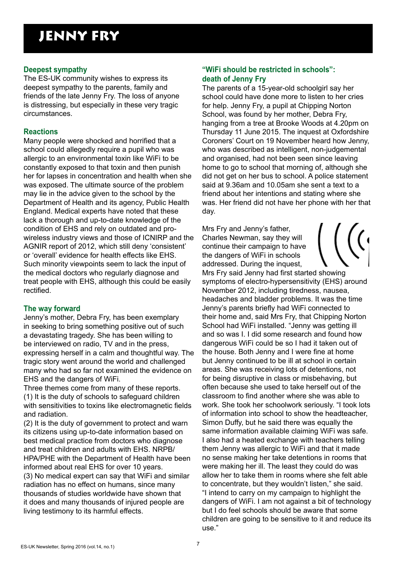### JENNY FRY

#### **Deepest sympathy**

The ES-UK community wishes to express its deepest sympathy to the parents, family and friends of the late Jenny Fry. The loss of anyone is distressing, but especially in these very tragic circumstances.

#### **Reactions**

Many people were shocked and horrified that a school could allegedly require a pupil who was allergic to an environmental toxin like WiFi to be constantly exposed to that toxin and then punish her for lapses in concentration and health when she was exposed. The ultimate source of the problem may lie in the advice given to the school by the Department of Health and its agency, Public Health England. Medical experts have noted that these lack a thorough and up-to-date knowledge of the condition of EHS and rely on outdated and prowireless industry views and those of ICNIRP and the AGNIR report of 2012, which still deny 'consistent' or 'overall' evidence for health effects like EHS. Such minority viewpoints seem to lack the input of the medical doctors who regularly diagnose and treat people with EHS, although this could be easily rectified.

#### **The way forward**

Jenny's mother, Debra Fry, has been exemplary in seeking to bring something positive out of such a devastating tragedy. She has been willing to be interviewed on radio, TV and in the press, expressing herself in a calm and thoughtful way. The tragic story went around the world and challenged many who had so far not examined the evidence on EHS and the dangers of WiFi.

Three themes come from many of these reports. (1) It is the duty of schools to safeguard children with sensitivities to toxins like electromagnetic fields and radiation.

(2) It is the duty of government to protect and warn its citizens using up-to-date information based on best medical practice from doctors who diagnose and treat children and adults with EHS. NRPB/ HPA/PHE with the Department of Health have been informed about real EHS for over 10 years. (3) No medical expert can say that WiFi and similar radiation has no effect on humans, since many thousands of studies worldwide have shown that it does and many thousands of injured people are living testimony to its harmful effects.

#### **"WiFi should be restricted in schools": death of Jenny Fry**

The parents of a 15-year-old schoolgirl say her school could have done more to listen to her cries for help. Jenny Fry, a pupil at Chipping Norton School, was found by her mother, Debra Fry, hanging from a tree at Brooke Woods at 4.20pm on Thursday 11 June 2015. The inquest at Oxfordshire Coroners' Court on 19 November heard how Jenny, who was described as intelligent, non-judgemental and organised, had not been seen since leaving home to go to school that morning of, although she did not get on her bus to school. A police statement said at 9.36am and 10.05am she sent a text to a friend about her intentions and stating where she was. Her friend did not have her phone with her that day.

Mrs Fry and Jenny's father, Charles Newman, say they will continue their campaign to have the dangers of WiFi in schools addressed. During the inquest, Mrs Fry said Jenny had first started showing symptoms of electro-hypersensitivity (EHS) around November 2012, including tiredness, nausea, headaches and bladder problems. It was the time Jenny's parents briefly had WiFi connected to their home and, said Mrs Fry, that Chipping Norton School had WiFi installed. "Jenny was getting ill and so was I. I did some research and found how dangerous WiFi could be so I had it taken out of the house. Both Jenny and I were fine at home but Jenny continued to be ill at school in certain areas. She was receiving lots of detentions, not for being disruptive in class or misbehaving, but often because she used to take herself out of the classroom to find another where she was able to work. She took her schoolwork seriously. "I took lots of information into school to show the headteacher, Simon Duffy, but he said there was equally the same information available claiming WiFi was safe. I also had a heated exchange with teachers telling them Jenny was allergic to WiFi and that it made no sense making her take detentions in rooms that were making her ill. The least they could do was allow her to take them in rooms where she felt able to concentrate, but they wouldn't listen," she said. "I intend to carry on my campaign to highlight the dangers of WiFi. I am not against a bit of technology but I do feel schools should be aware that some children are going to be sensitive to it and reduce its use."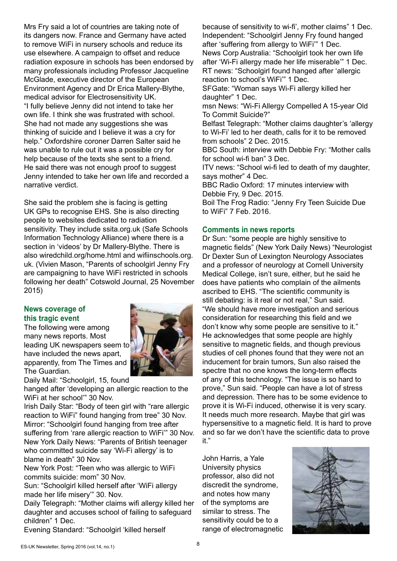Mrs Fry said a lot of countries are taking note of its dangers now. France and Germany have acted to remove WiFi in nursery schools and reduce its use elsewhere. A campaign to offset and reduce radiation exposure in schools has been endorsed by many professionals including Professor Jacqueline McGlade, executive director of the European Environment Agency and Dr Erica Mallery-Blythe, medical advisor for Electrosensitivity UK. "I fully believe Jenny did not intend to take her own life. I think she was frustrated with school. She had not made any suggestions she was thinking of suicide and I believe it was a cry for help." Oxfordshire coroner Darren Salter said he was unable to rule out it was a possible cry for help because of the texts she sent to a friend. He said there was not enough proof to suggest Jenny intended to take her own life and recorded a narrative verdict.

She said the problem she is facing is getting UK GPs to recognise EHS. She is also directing people to websites dedicated to radiation sensitivity. They include ssita.org.uk (Safe Schools Information Technology Alliance) where there is a section in 'videos' by Dr Mallery-Blythe. There is also wiredchild.org/home.html and wifiinschools.org. uk. (Vivien Mason, "Parents of schoolgirl Jenny Fry are campaigning to have WiFi restricted in schools following her death" Cotswold Journal, 25 November 2015)

#### **News coverage of this tragic event**

The following were among many news reports. Most leading UK newspapers seem to have included the news apart, apparently, from The Times and The Guardian.



Daily Mail: "Schoolgirl, 15, found

hanged after 'developing an allergic reaction to the WiFi at her school'" 30 Nov.

Irish Daily Star: "Body of teen girl with "rare allergic reaction to WiFi" found hanging from tree" 30 Nov. Mirror: "Schoolgirl found hanging from tree after suffering from 'rare allergic reaction to WiFi" 30 Nov. New York Daily News: "Parents of British teenager who committed suicide say 'Wi-Fi allergy' is to blame in death" 30 Nov.

New York Post: "Teen who was allergic to WiFi commits suicide: mom" 30 Nov.

Sun: "Schoolgirl killed herself after 'WiFi allergy made her life misery'" 30. Nov.

Daily Telegraph: "Mother claims wifi allergy killed her daughter and accuses school of failing to safeguard children" 1 Dec.

Evening Standard: "Schoolgirl 'killed herself

because of sensitivity to wi-fi', mother claims" 1 Dec. Independent: "Schoolgirl Jenny Fry found hanged after 'suffering from allergy to WiFi'" 1 Dec. News Corp Australia: "Schoolgirl took her own life after 'Wi-Fi allergy made her life miserable'" 1 Dec. RT news: "Schoolgirl found hanged after 'allergic reaction to school's WiFi'" 1 Dec.

SFGate: "Woman says Wi-Fi allergy killed her daughter" 1 Dec.

msn News: "Wi-Fi Allergy Compelled A 15-year Old To Commit Suicide?"

Belfast Telegraph: "Mother claims daughter's 'allergy to Wi-Fi' led to her death, calls for it to be removed from schools" 2 Dec. 2015.

BBC South: interview with Debbie Fry: "Mother calls for school wi-fi ban" 3 Dec.

ITV news: "School wi-fi led to death of my daughter, says mother" 4 Dec.

BBC Radio Oxford: 17 minutes interview with Debbie Fry, 9 Dec. 2015.

Boil The Frog Radio: "Jenny Fry Teen Suicide Due to WiFi" 7 Feb. 2016.

#### **Comments in news reports**

Dr Sun: "some people are highly sensitive to magnetic fields" (New York Daily News) "Neurologist Dr Dexter Sun of Lexington Neurology Associates and a professor of neurology at Cornell University Medical College, isn't sure, either, but he said he does have patients who complain of the ailments ascribed to EHS. "The scientific community is still debating: is it real or not real," Sun said. "We should have more investigation and serious consideration for researching this field and we don't know why some people are sensitive to it." He acknowledges that some people are highly sensitive to magnetic fields, and though previous studies of cell phones found that they were not an inducement for brain tumors, Sun also raised the spectre that no one knows the long-term effects of any of this technology. "The issue is so hard to prove," Sun said. "People can have a lot of stress and depression. There has to be some evidence to prove it is Wi-Fi induced, otherwise it is very scary. It needs much more research. Maybe that girl was hypersensitive to a magnetic field. It is hard to prove and so far we don't have the scientific data to prove it."

John Harris, a Yale University physics professor, also did not discredit the syndrome, and notes how many of the symptoms are similar to stress. The sensitivity could be to a range of electromagnetic

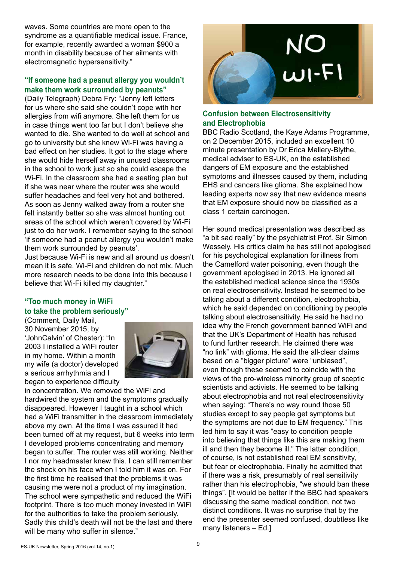waves. Some countries are more open to the syndrome as a quantifiable medical issue. France, for example, recently awarded a woman \$900 a month in disability because of her ailments with electromagnetic hypersensitivity."

#### **"If someone had a peanut allergy you wouldn't make them work surrounded by peanuts"**

(Daily Telegraph) Debra Fry: "Jenny left letters for us where she said she couldn't cope with her allergies from wifi anymore. She left them for us in case things went too far but I don't believe she wanted to die. She wanted to do well at school and go to university but she knew Wi-Fi was having a bad effect on her studies. It got to the stage where she would hide herself away in unused classrooms in the school to work just so she could escape the Wi-Fi. In the classroom she had a seating plan but if she was near where the router was she would suffer headaches and feel very hot and bothered. As soon as Jenny walked away from a router she felt instantly better so she was almost hunting out areas of the school which weren't covered by Wi-Fi just to do her work. I remember saying to the school 'if someone had a peanut allergy you wouldn't make them work surrounded by peanuts'.

Just because Wi-Fi is new and all around us doesn't mean it is safe. Wi-Fi and children do not mix. Much more research needs to be done into this because I believe that Wi-Fi killed my daughter."

#### **"Too much money in WiFi to take the problem seriously"**

(Comment, Daily Mail, 30 November 2015, by 'JohnCalvin' of Chester): "In 2003 I installed a WiFi router in my home. Within a month my wife (a doctor) developed a serious arrhythmia and I began to experience difficulty



in concentration. We removed the WiFi and hardwired the system and the symptoms gradually disappeared. However I taught in a school which had a WiFi transmitter in the classroom immediately above my own. At the time I was assured it had been turned off at my request, but 6 weeks into term I developed problems concentrating and memory began to suffer. The router was still working. Neither I nor my headmaster knew this. I can still remember the shock on his face when I told him it was on. For the first time he realised that the problems it was causing me were not a product of my imagination. The school were sympathetic and reduced the WiFi footprint. There is too much money invested in WiFi for the authorities to take the problem seriously. Sadly this child's death will not be the last and there will be many who suffer in silence."



#### **Confusion between Electrosensitivity and Electrophobia**

BBC Radio Scotland, the Kaye Adams Programme, on 2 December 2015, included an excellent 10 minute presentation by Dr Erica Mallery-Blythe, medical adviser to ES-UK, on the established dangers of EM exposure and the established symptoms and illnesses caused by them, including EHS and cancers like glioma. She explained how leading experts now say that new evidence means that EM exposure should now be classified as a class 1 certain carcinogen.

Her sound medical presentation was described as "a bit sad really" by the psychiatrist Prof. Sir Simon Wessely. His critics claim he has still not apologised for his psychological explanation for illness from the Camelford water poisoning, even though the government apologised in 2013. He ignored all the established medical science since the 1930s on real electrosensitivity. Instead he seemed to be talking about a different condition, electrophobia, which he said depended on conditioning by people talking about electrosensitivity. He said he had no idea why the French government banned WiFi and that the UK's Department of Health has refused to fund further research. He claimed there was "no link" with glioma. He said the all-clear claims based on a "bigger picture" were "unbiased", even though these seemed to coincide with the views of the pro-wireless minority group of sceptic scientists and activists. He seemed to be talking about electrophobia and not real electrosensitivity when saying: "There's no way round those 50 studies except to say people get symptoms but the symptoms are not due to EM frequency." This led him to say it was "easy to condition people into believing that things like this are making them ill and then they become ill." The latter condition, of course, is not established real EM sensitivity, but fear or electrophobia. Finally he admitted that if there was a risk, presumably of real sensitivity rather than his electrophobia, "we should ban these things". [It would be better if the BBC had speakers discussing the same medical condition, not two distinct conditions. It was no surprise that by the end the presenter seemed confused, doubtless like many listeners – Ed.]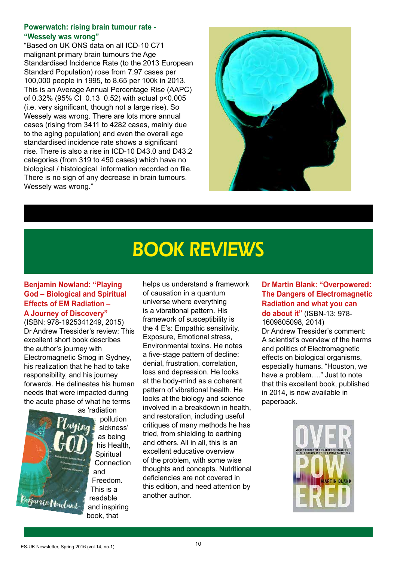#### **Powerwatch: rising brain tumour rate - "Wessely was wrong"**

"Based on UK ONS data on all ICD-10 C71 malignant primary brain tumours the Age Standardised Incidence Rate (to the 2013 European Standard Population) rose from 7.97 cases per 100,000 people in 1995, to 8.65 per 100k in 2013. This is an Average Annual Percentage Rise (AAPC) of 0.32% (95% CI 0.13 0.52) with actual p<0.005 (i.e. very significant, though not a large rise). So Wessely was wrong. There are lots more annual cases (rising from 3411 to 4282 cases, mainly due to the aging population) and even the overall age standardised incidence rate shows a significant rise. There is also a rise in ICD-10 D43.0 and D43.2 categories (from 319 to 450 cases) which have no biological / histological information recorded on file. There is no sign of any decrease in brain tumours. Wessely was wrong."



## BOOK REVIEWS

#### **Benjamin Nowland: "Playing God – Biological and Spiritual Effects of EM Radiation –**

**A Journey of Discovery"**  (ISBN: 978-1925341249, 2015) Dr Andrew Tressider's review: This excellent short book describes the author's journey with Electromagnetic Smog in Sydney, his realization that he had to take responsibility, and his journey forwards. He delineates his human needs that were impacted during the acute phase of what he terms



as 'radiation pollution sickness' as being his Health, **Spiritual Connection** and Freedom. This is a readable and inspiring book, that

helps us understand a framework of causation in a quantum universe where everything is a vibrational pattern. His framework of susceptibility is the 4 E's: Empathic sensitivity, Exposure, Emotional stress, Environmental toxins. He notes a five-stage pattern of decline: denial, frustration, correlation, loss and depression. He looks at the body-mind as a coherent pattern of vibrational health. He looks at the biology and science involved in a breakdown in health, and restoration, including useful critiques of many methods he has tried, from shielding to earthing and others. All in all, this is an excellent educative overview of the problem, with some wise thoughts and concepts. Nutritional deficiencies are not covered in this edition, and need attention by another author.

**Dr Martin Blank: "Overpowered: The Dangers of Electromagnetic Radiation and what you can do about it"** (ISBN-13: 978- 1609805098, 2014) Dr Andrew Tressider's comment: A scientist's overview of the harms and politics of Electromagnetic effects on biological organisms, especially humans. "Houston, we have a problem…." Just to note that this excellent book, published in 2014, is now available in

paperback.

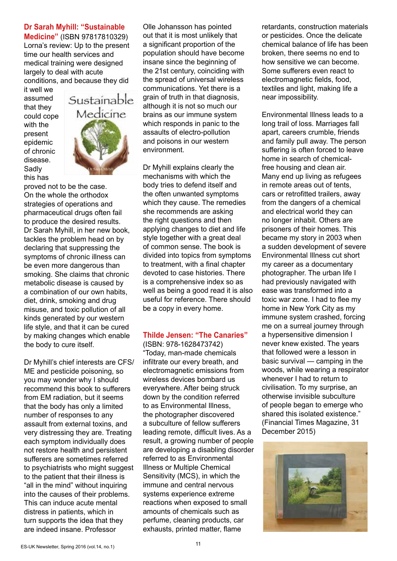#### **Dr Sarah Myhill: "Sustainable**

**Medicine"** (ISBN 97817810329) Lorna's review: Up to the present time our health services and medical training were designed largely to deal with acute conditions, and because they did

it well we assumed that they could cope with the present epidemic of chronic disease. Sadly this has



proved not to be the case. On the whole the orthodox strategies of operations and pharmaceutical drugs often fail to produce the desired results. Dr Sarah Myhill, in her new book, tackles the problem head on by declaring that suppressing the symptoms of chronic illness can be even more dangerous than smoking. She claims that chronic metabolic disease is caused by a combination of our own habits, diet, drink, smoking and drug misuse, and toxic pollution of all kinds generated by our western life style, and that it can be cured by making changes which enable the body to cure itself.

Dr Myhill's chief interests are CFS/ ME and pesticide poisoning, so you may wonder why I should recommend this book to sufferers from EM radiation, but it seems that the body has only a limited number of responses to any assault from external toxins, and very distressing they are. Treating each symptom individually does not restore health and persistent sufferers are sometimes referred to psychiatrists who might suggest to the patient that their illness is "all in the mind" without inquiring into the causes of their problems. This can induce acute mental distress in patients, which in turn supports the idea that they are indeed insane. Professor

Olle Johansson has pointed out that it is most unlikely that a significant proportion of the population should have become insane since the beginning of the 21st century, coinciding with the spread of universal wireless communications. Yet there is a grain of truth in that diagnosis, although it is not so much our brains as our immune system which responds in panic to the assaults of electro-pollution and poisons in our western environment.

Dr Myhill explains clearly the mechanisms with which the body tries to defend itself and the often unwanted symptoms which they cause. The remedies she recommends are asking the right questions and then applying changes to diet and life style together with a great deal of common sense. The book is divided into topics from symptoms to treatment, with a final chapter devoted to case histories. There is a comprehensive index so as well as being a good read it is also useful for reference. There should be a copy in every home.

#### **Thilde Jensen: "The Canaries"**

(ISBN: 978-1628473742) "Today, man-made chemicals infiltrate our every breath, and electromagnetic emissions from wireless devices bombard us everywhere. After being struck down by the condition referred to as Environmental Illness, the photographer discovered a subculture of fellow sufferers leading remote, difficult lives. As a result, a growing number of people are developing a disabling disorder referred to as Environmental Illness or Multiple Chemical Sensitivity (MCS), in which the immune and central nervous systems experience extreme reactions when exposed to small amounts of chemicals such as perfume, cleaning products, car exhausts, printed matter, flame

retardants, construction materials or pesticides. Once the delicate chemical balance of life has been broken, there seems no end to how sensitive we can become. Some sufferers even react to electromagnetic fields, food, textiles and light, making life a near impossibility.

Environmental Illness leads to a long trail of loss. Marriages fall apart, careers crumble, friends and family pull away. The person suffering is often forced to leave home in search of chemicalfree housing and clean air. Many end up living as refugees in remote areas out of tents, cars or retrofitted trailers, away from the dangers of a chemical and electrical world they can no longer inhabit. Others are prisoners of their homes. This became my story in 2003 when a sudden development of severe Environmental Illness cut short my career as a documentary photographer. The urban life I had previously navigated with ease was transformed into a toxic war zone. I had to flee my home in New York City as my immune system crashed, forcing me on a surreal journey through a hypersensitive dimension I never knew existed. The years that followed were a lesson in basic survival — camping in the woods, while wearing a respirator whenever I had to return to civilisation. To my surprise, an otherwise invisible subculture of people began to emerge who shared this isolated existence." (Financial Times Magazine, 31 December 2015)

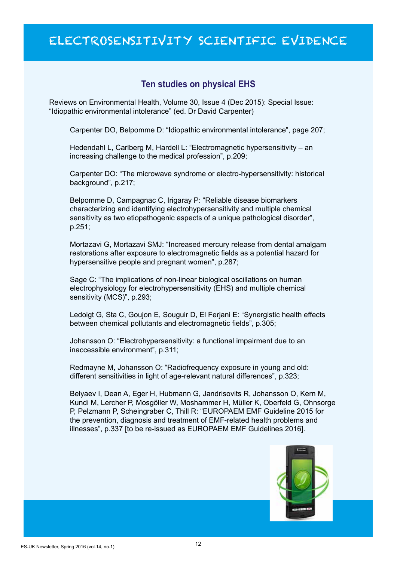### ELECTROSENSITIVITY SCIENTIFIC EVIDENCE

#### **Ten studies on physical EHS**

Reviews on Environmental Health, Volume 30, Issue 4 (Dec 2015): Special Issue: "Idiopathic environmental intolerance" (ed. Dr David Carpenter)

Carpenter DO, Belpomme D: "Idiopathic environmental intolerance", page 207;

Hedendahl L, Carlberg M, Hardell L: "Electromagnetic hypersensitivity – an increasing challenge to the medical profession", p.209;

Carpenter DO: "The microwave syndrome or electro-hypersensitivity: historical background", p.217;

Belpomme D, Campagnac C, Irigaray P: "Reliable disease biomarkers characterizing and identifying electrohypersensitivity and multiple chemical sensitivity as two etiopathogenic aspects of a unique pathological disorder", p.251;

Mortazavi G, Mortazavi SMJ: "Increased mercury release from dental amalgam restorations after exposure to electromagnetic fields as a potential hazard for hypersensitive people and pregnant women", p.287;

Sage C: "The implications of non-linear biological oscillations on human electrophysiology for electrohypersensitivity (EHS) and multiple chemical sensitivity (MCS)", p.293;

Ledoigt G, Sta C, Goujon E, Souguir D, El Ferjani E: "Synergistic health effects between chemical pollutants and electromagnetic fields", p.305;

Johansson O: "Electrohypersensitivity: a functional impairment due to an inaccessible environment", p.311;

Redmayne M, Johansson O: "Radiofrequency exposure in young and old: different sensitivities in light of age-relevant natural differences", p.323;

Belyaev I, Dean A, Eger H, Hubmann G, Jandrisovits R, Johansson O, Kern M, Kundi M, Lercher P, Mosgöller W, Moshammer H, Müller K, Oberfeld G, Ohnsorge P, Pelzmann P, Scheingraber C, Thill R: "EUROPAEM EMF Guideline 2015 for the prevention, diagnosis and treatment of EMF-related health problems and illnesses", p.337 [to be re-issued as EUROPAEM EMF Guidelines 2016].

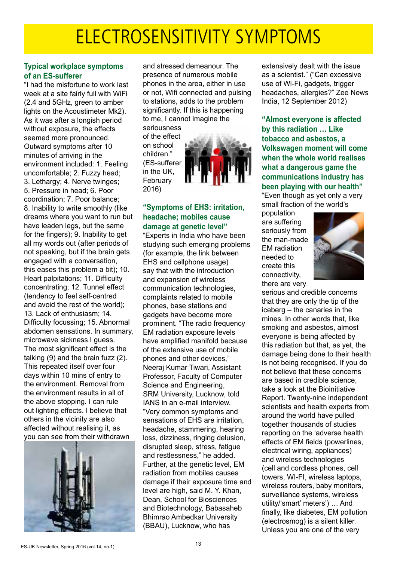## ELECTROSENSITIVITY SYMPTOMS

#### **Typical workplace symptoms of an ES-sufferer**

"I had the misfortune to work last week at a site fairly full with WiFi (2.4 and 5GHz, green to amber lights on the Acoustimeter Mk2). As it was after a longish period without exposure, the effects seemed more pronounced. Outward symptoms after 10 minutes of arriving in the environment included: 1. Feeling uncomfortable; 2. Fuzzy head; 3. Lethargy; 4. Nerve twinges; 5. Pressure in head; 6. Poor coordination; 7. Poor balance; 8. Inability to write smoothly (like dreams where you want to run but have leaden legs, but the same for the fingers); 9. Inability to get all my words out (after periods of not speaking, but if the brain gets engaged with a conversation, this eases this problem a bit); 10. Heart palpitations; 11. Difficulty concentrating; 12. Tunnel effect (tendency to feel self-centred and avoid the rest of the world); 13. Lack of enthusiasm; 14. Difficulty focussing; 15. Abnormal abdomen sensations. In summary, microwave sickness I guess. The most significant effect is the talking (9) and the brain fuzz (2). This repeated itself over four days within 10 mins of entry to the environment. Removal from the environment results in all of the above stopping. I can rule out lighting effects. I believe that others in the vicinity are also affected without realising it, as you can see from their withdrawn



and stressed demeanour. The presence of numerous mobile phones in the area, either in use or not, Wifi connected and pulsing to stations, adds to the problem significantly. If this is happening to me, I cannot imagine the

seriousness of the effect on school children." (ES-sufferer in the UK, February 2016)



#### **"Symptoms of EHS: irritation, headache; mobiles cause damage at genetic level"**

"Experts in India who have been studving such emerging problems (for example, the link between EHS and cellphone usage) say that with the introduction and expansion of wireless communication technologies, complaints related to mobile phones, base stations and gadgets have become more prominent. "The radio frequency EM radiation exposure levels have amplified manifold because of the extensive use of mobile phones and other devices," Neeraj Kumar Tiwari, Assistant Professor, Faculty of Computer Science and Engineering, SRM University, Lucknow, told IANS in an e-mail interview. "Very common symptoms and sensations of EHS are irritation. headache, stammering, hearing loss, dizziness, ringing delusion, disrupted sleep, stress, fatigue and restlessness," he added. Further, at the genetic level, EM radiation from mobiles causes damage if their exposure time and level are high, said M. Y. Khan, Dean, School for Biosciences and Biotechnology, Babasaheb Bhimrao Ambedkar University (BBAU), Lucknow, who has

extensively dealt with the issue as a scientist." ("Can excessive use of Wi-Fi, gadgets, trigger headaches, allergies?" Zee News India, 12 September 2012)

**"Almost everyone is affected by this radiation … Like tobacco and asbestos, a Volkswagen moment will come when the whole world realises what a dangerous game the communications industry has been playing with our health"** "Even though as yet only a very

small fraction of the world's

population are suffering seriously from the man-made EM radiation needed to create this connectivity, there are very



serious and credible concerns that they are only the tip of the iceberg – the canaries in the mines. In other words that, like smoking and asbestos, almost everyone is being affected by this radiation but that, as yet, the damage being done to their health is not being recognised. If you do not believe that these concerns are based in credible science, take a look at the Bioinitiative Report. Twenty-nine independent scientists and health experts from around the world have pulled together thousands of studies reporting on the 'adverse health effects of EM fields (powerlines, electrical wiring, appliances) and wireless technologies (cell and cordless phones, cell towers, WI-FI, wireless laptops, wireless routers, baby monitors, surveillance systems, wireless utility/'smart' meters') … And finally, like diabetes, EM pollution (electrosmog) is a silent killer. Unless you are one of the very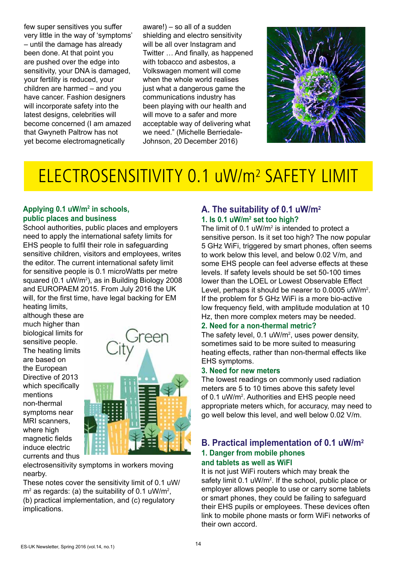few super sensitives you suffer very little in the way of 'symptoms' – until the damage has already been done. At that point you are pushed over the edge into sensitivity, your DNA is damaged, your fertility is reduced, your children are harmed – and you have cancer. Fashion designers will incorporate safety into the latest designs, celebrities will become concerned (I am amazed that Gwyneth Paltrow has not yet become electromagnetically

aware!) – so all of a sudden shielding and electro sensitivity will be all over Instagram and Twitter … And finally, as happened with tobacco and asbestos, a Volkswagen moment will come when the whole world realises just what a dangerous game the communications industry has been playing with our health and will move to a safer and more acceptable way of delivering what we need." (Michelle Berriedale-Johnson, 20 December 2016)



## ELECTROSENSITIVITY 0.1 uW/m2 SAFETY LIMIT

#### **Applying 0.1 uW/m2 in schools, public places and business**

School authorities, public places and employers need to apply the international safety limits for EHS people to fulfil their role in safeguarding sensitive children, visitors and employees, writes the editor. The current international safety limit for sensitive people is 0.1 microWatts per metre squared (0.1 uW/m<sup>2</sup>), as in Building Biology 2008 and EUROPAEM 2015. From July 2016 the UK will, for the first time, have legal backing for EM heating limits,

although these are much higher than biological limits for sensitive people. The heating limits are based on the European Directive of 2013 which specifically mentions non-thermal symptoms near MRI scanners, where high magnetic fields induce electric currents and thus



electrosensitivity symptoms in workers moving nearby.

These notes cover the sensitivity limit of 0.1 uW/  $\text{m}^2$  as regards: (a) the suitability of 0.1 uW/m<sup>2</sup>, (b) practical implementation, and (c) regulatory implications.

#### **A. The suitability of 0.1 uW/m2 1. Is 0.1 uW/m2 set too high?**

The limit of 0.1  $\mu$ W/m<sup>2</sup> is intended to protect a sensitive person. Is it set too high? The now popular 5 GHz WiFi, triggered by smart phones, often seems to work below this level, and below 0.02 V/m, and some EHS people can feel adverse effects at these levels. If safety levels should be set 50-100 times lower than the LOEL or Lowest Observable Effect Level, perhaps it should be nearer to 0.0005 uW/m<sup>2</sup>. If the problem for 5 GHz WiFi is a more bio-active low frequency field, with amplitude modulation at 10 Hz, then more complex meters may be needed.

#### **2. Need for a non-thermal metric?**

The safety level,  $0.1 \text{ uW/m}^2$ , uses power density, sometimes said to be more suited to measuring heating effects, rather than non-thermal effects like EHS symptoms.

#### **3. Need for new meters**

The lowest readings on commonly used radiation meters are 5 to 10 times above this safety level of 0.1 uW/m<sup>2</sup>. Authorities and EHS people need appropriate meters which, for accuracy, may need to go well below this level, and well below 0.02 V/m.

#### **B. Practical implementation of 0.1 uW/m2 1. Danger from mobile phones and tablets as well as WiFI**

It is not just WiFi routers which may break the safety limit 0.1 uW/m<sup>2</sup>. If the school, public place or employer allows people to use or carry some tablets or smart phones, they could be failing to safeguard their EHS pupils or employees. These devices often link to mobile phone masts or form WiFi networks of their own accord.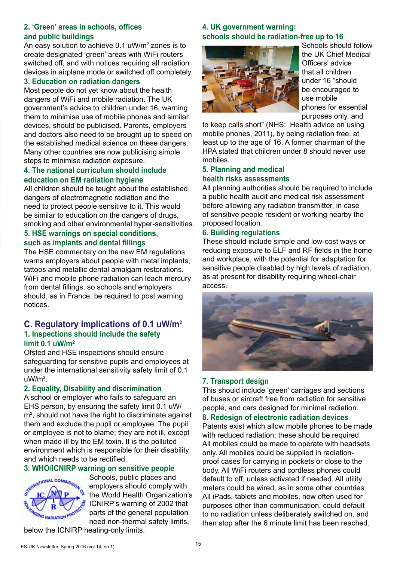#### **2. 'Green' areas in schools, offices and public buildings**

An easy solution to achieve 0.1 uW/m<sup>2</sup> zones is to create designated 'green' areas with WiFi routers switched off, and with notices requiring all radiation devices in airplane mode or switched off completely.

#### **3. Education on radiation dangers**

Most people do not yet know about the health dangers of WiFi and mobile radiation. The UK government's advice to children under 16, warning them to minimise use of mobile phones and similar devices, should be publicised. Parents, employers and doctors also need to be brought up to speed on the established medical science on these dangers. Many other countries are now publicising simple steps to minimise radiation exposure.

#### **4. The national curriculum should include education on EM radiation hygiene**

All children should be taught about the established dangers of electromagnetic radiation and the need to protect people sensitive to it. This would be similar to education on the dangers of drugs, smoking and other environmental hyper-sensitivities.

#### **5. HSE warnings on special conditions, such as implants and dental fillings**

The HSE commentary on the new EM regulations warns employers about people with metal implants, tattoos and metallic dental amalgam restorations. WiFi and mobile phone radiation can leach mercury from dental fillings, so schools and employers should, as in France, be required to post warning notices.

#### **C. Regulatory implications of 0.1 uW/m2 1. Inspections should include the safety limit 0.1 uW/m2**

Ofsted and HSE inspections should ensure safeguarding for sensitive pupils and employees at under the international sensitivity safety limit of 0.1 uW/m2 .

#### **2. Equality, Disability and discrimination**

A school or employer who fails to safeguard an EHS person, by ensuring the safety limit 0.1 uW/  $m<sup>2</sup>$ , should not have the right to discriminate against them and exclude the pupil or employee. The pupil or employee is not to blame; they are not ill, except when made ill by the EM toxin. It is the polluted environment which is responsible for their disability and which needs to be rectified.

#### **3. WHO/ICNIRP warning on sensitive people**



Schools, public places and employers should comply with the World Health Organization's ICNIRP's warning of 2002 that parts of the general population need non-thermal safety limits,

**4. UK government warning: schools should be radiation-free up to 16**



Schools should follow the UK Chief Medical Officers' advice that all children under 16 "should be encouraged to use mobile phones for essential purposes only, and

to keep calls short" (NHS: Health advice on using mobile phones, 2011), by being radiation free, at least up to the age of 16. A former chairman of the HPA stated that children under 8 should never use mobiles.

#### **5. Planning and medical health risks assessments**

All planning authorities should be required to include a public health audit and medical risk assessment before allowing any radiation transmitter, in case of sensitive people resident or working nearby the proposed location.

#### **6. Building regulations**

These should include simple and low-cost ways or reducing exposure to ELF and RF fields in the home and workplace, with the potential for adaptation for sensitive people disabled by high levels of radiation, as at present for disability requiring wheel-chair access.



#### **7. Transport design**

This should include 'green' carriages and sections of buses or aircraft free from radiation for sensitive people, and cars designed for minimal radiation.

#### **8. Redesign of electronic radiation devices**

Patents exist which allow mobile phones to be made with reduced radiation; these should be required. All mobiles could be made to operate with headsets only. All mobiles could be supplied in radiationproof cases for carrying in pockets or close to the body. All WiFi routers and cordless phones could default to off, unless activated if needed. All utility meters could be wired, as in some other countries. All iPads, tablets and mobiles, now often used for purposes other than communication, could default to no radiation unless deliberately switched on, and then stop after the 6 minute limit has been reached.

below the ICNIRP heating-only limits.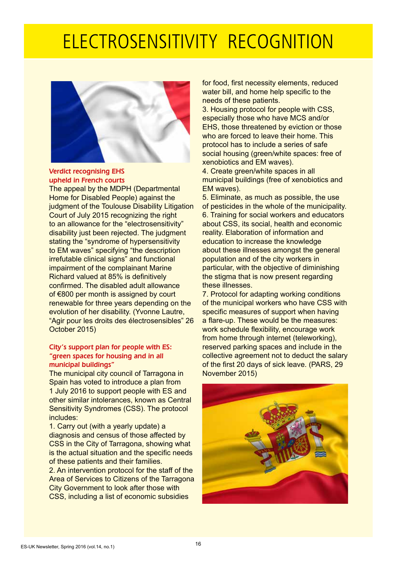## ELECTROSENSITIVITY RECOGNITION



Verdict recognising EHS upheld in French courts

The appeal by the MDPH (Departmental Home for Disabled People) against the judgment of the Toulouse Disability Litigation Court of July 2015 recognizing the right to an allowance for the "electrosensitivity" disability just been rejected. The judgment stating the "syndrome of hypersensitivity to EM waves" specifying "the description irrefutable clinical signs" and functional impairment of the complainant Marine Richard valued at 85% is definitively confirmed. The disabled adult allowance of €800 per month is assigned by court renewable for three years depending on the evolution of her disability. (Yvonne Lautre, "Agir pour les droits des électrosensibles" 26 October 2015)

#### City's support plan for people with ES: "green spaces for housing and in all municipal buildings"

The municipal city council of Tarragona in Spain has voted to introduce a plan from 1 July 2016 to support people with ES and other similar intolerances, known as Central Sensitivity Syndromes (CSS). The protocol includes:

1. Carry out (with a yearly update) a diagnosis and census of those affected by CSS in the City of Tarragona, showing what is the actual situation and the specific needs of these patients and their families.

2. An intervention protocol for the staff of the Area of Services to Citizens of the Tarragona City Government to look after those with CSS, including a list of economic subsidies

for food, first necessity elements, reduced water bill, and home help specific to the needs of these patients.

3. Housing protocol for people with CSS, especially those who have MCS and/or EHS, those threatened by eviction or those who are forced to leave their home. This protocol has to include a series of safe social housing (green/white spaces: free of xenobiotics and EM waves).

4. Create green/white spaces in all municipal buildings (free of xenobiotics and EM waves).

5. Eliminate, as much as possible, the use of pesticides in the whole of the municipality. 6. Training for social workers and educators about CSS, its social, health and economic reality. Elaboration of information and education to increase the knowledge about these illnesses amongst the general population and of the city workers in particular, with the objective of diminishing the stigma that is now present regarding these illnesses.

7. Protocol for adapting working conditions of the municipal workers who have CSS with specific measures of support when having a flare-up. These would be the measures: work schedule flexibility, encourage work from home through internet (teleworking), reserved parking spaces and include in the collective agreement not to deduct the salary of the first 20 days of sick leave. (PARS, 29 November 2015)

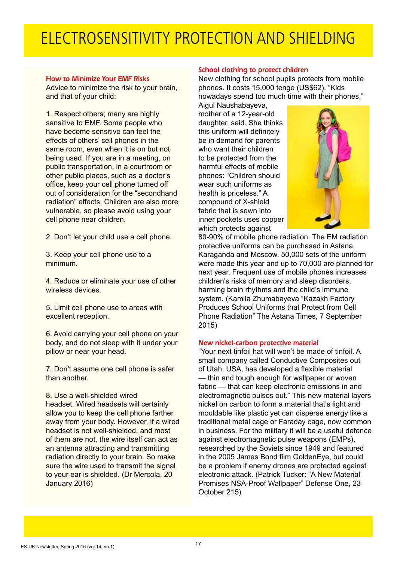## ELECTROSENSITIVITY PROTECTION AND SHIELDING

#### How to Minimize Your EMF Risks

Advice to minimize the risk to your brain, and that of your child:

1. Respect others; many are highly sensitive to EMF. Some people who have become sensitive can feel the effects of others' cell phones in the same room, even when it is on but not being used. If you are in a meeting, on public transportation, in a courtroom or other public places, such as a doctor's office, keep your cell phone turned off out of consideration for the "secondhand radiation" effects. Children are also more vulnerable, so please avoid using your cell phone near children.

2. Don't let your child use a cell phone.

3. Keep your cell phone use to a minimum.

4. Reduce or eliminate your use of other wireless devices.

5. Limit cell phone use to areas with excellent reception.

6. Avoid carrying your cell phone on your body, and do not sleep with it under your pillow or near your head.

7. Don't assume one cell phone is safer than another.

8. Use a well-shielded wired headset. Wired headsets will certainly allow you to keep the cell phone farther away from your body. However, if a wired headset is not well-shielded, and most of them are not, the wire itself can act as an antenna attracting and transmitting radiation directly to your brain. So make sure the wire used to transmit the signal to your ear is shielded. (Dr Mercola, 20 January 2016)

#### School clothing to protect children

New clothing for school pupils protects from mobile phones. It costs 15,000 tenge (US\$62). "Kids nowadays spend too much time with their phones,"

Aigul Naushabayeva, mother of a 12-year-old daughter, said. She thinks this uniform will definitely be in demand for parents who want their children to be protected from the harmful effects of mobile phones: "Children should wear such uniforms as health is priceless." A compound of X-shield fabric that is sewn into inner pockets uses copper which protects against



80-90% of mobile phone radiation. The EM radiation protective uniforms can be purchased in Astana, Karaganda and Moscow. 50,000 sets of the uniform were made this year and up to 70,000 are planned for next year. Frequent use of mobile phones increases children's risks of memory and sleep disorders, harming brain rhythms and the child's immune system. (Kamila Zhumabayeva "Kazakh Factory Produces School Uniforms that Protect from Cell Phone Radiation" The Astana Times, 7 September 2015)

#### New nickel-carbon protective material

"Your next tinfoil hat will won't be made of tinfoil. A small company called Conductive Composites out of Utah, USA, has developed a flexible material — thin and tough enough for wallpaper or woven fabric — that can keep electronic emissions in and electromagnetic pulses out." This new material layers nickel on carbon to form a material that's light and mouldable like plastic yet can disperse energy like a traditional metal cage or Faraday cage, now common in business. For the military it will be a useful defence against electromagnetic pulse weapons (EMPs), researched by the Soviets since 1949 and featured in the 2005 James Bond film GoldenEye, but could be a problem if enemy drones are protected against electronic attack. (Patrick Tucker: "A New Material Promises NSA-Proof Wallpaper" Defense One, 23 October 215)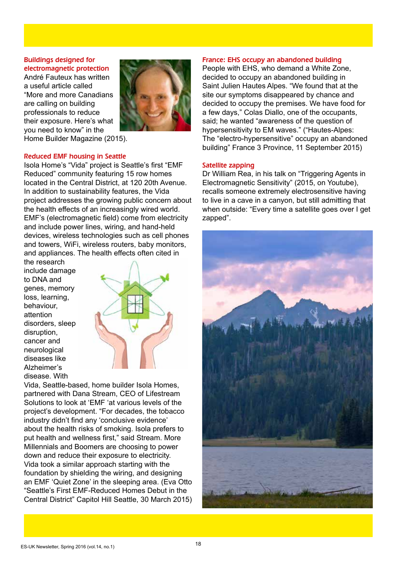#### Buildings designed for electromagnetic protection

André Fauteux has written a useful article called "More and more Canadians are calling on building professionals to reduce their exposure. Here's what you need to know" in the Home Builder Magazine (2015).



#### Reduced EMF housing in Seattle

Isola Home's "Vida" project is Seattle's first "EMF Reduced" community featuring 15 row homes located in the Central District, at 120 20th Avenue. In addition to sustainability features, the Vida project addresses the growing public concern about the health effects of an increasingly wired world. EMF's (electromagnetic field) come from electricity and include power lines, wiring, and hand-held devices, wireless technologies such as cell phones and towers, WiFi, wireless routers, baby monitors, and appliances. The health effects often cited in

the research include damage to DNA and genes, memory loss, learning, behaviour, attention disorders, sleep disruption, cancer and neurological diseases like Alzheimer's disease. With



Vida, Seattle-based, home builder Isola Homes, partnered with Dana Stream, CEO of Lifestream Solutions to look at 'EMF 'at various levels of the project's development. "For decades, the tobacco industry didn't find any 'conclusive evidence' about the health risks of smoking. Isola prefers to put health and wellness first," said Stream. More Millennials and Boomers are choosing to power down and reduce their exposure to electricity. Vida took a similar approach starting with the foundation by shielding the wiring, and designing an EMF 'Quiet Zone' in the sleeping area. (Eva Otto "Seattle's First EMF-Reduced Homes Debut in the Central District" Capitol Hill Seattle, 30 March 2015)

#### France: EHS occupy an abandoned building

People with EHS, who demand a White Zone, decided to occupy an abandoned building in Saint Julien Hautes Alpes. "We found that at the site our symptoms disappeared by chance and decided to occupy the premises. We have food for a few days," Colas Diallo, one of the occupants, said; he wanted "awareness of the question of hypersensitivity to EM waves." ("Hautes-Alpes: The "electro-hypersensitive" occupy an abandoned building" France 3 Province, 11 September 2015)

#### Satellite zapping

Dr William Rea, in his talk on "Triggering Agents in Electromagnetic Sensitivity" (2015, on Youtube), recalls someone extremely electrosensitive having to live in a cave in a canyon, but still admitting that when outside: "Every time a satellite goes over I get zapped".

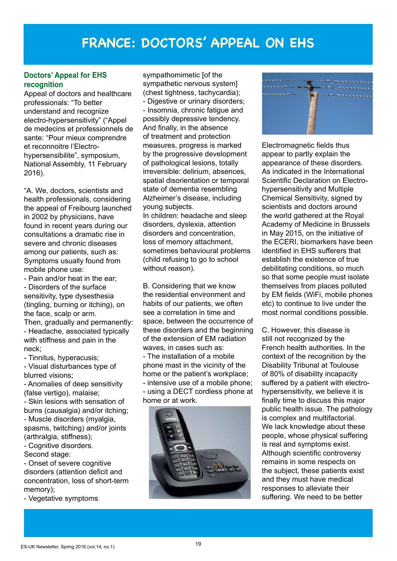### **FRANCE: DOCTORS' APPEAL ON EHS**

#### **Doctors' Appeal for EHS recognition**

Appeal of doctors and healthcare professionals: "To better understand and recognize electro-hypersensitivity" ("Appel de medecins et professionnels de sante: "Pour mieux comprendre et reconnoitre l'Electrohypersensibilite", symposium, National Assembly, 11 February 2016).

"A. We, doctors, scientists and health professionals, considering the appeal of Freibourg launched in 2002 by physicians, have found in recent years during our consultations a dramatic rise in severe and chronic diseases among our patients, such as: Symptoms usually found from mobile phone use:

- Pain and/or heat in the ear; - Disorders of the surface sensitivity, type dysesthesia (tingling, burning or itching), on the face, scalp or arm.

Then, gradually and permanently: - Headache, associated typically with stiffness and pain in the neck;

- Tinnitus, hyperacusis;

- Visual disturbances type of blurred visions;

- Anomalies of deep sensitivity (false vertigo), malaise;

- Skin lesions with sensation of burns (causalgia) and/or itching; - Muscle disorders (myalgia, spasms, twitching) and/or joints (arthralgia, stiffness);

- Cognitive disorders.

Second stage:

- Onset of severe cognitive disorders (attention deficit and concentration, loss of short-term memory);

- Vegetative symptoms

sympathomimetic [of the sympathetic nervous system] (chest tightness, tachycardia); - Digestive or urinary disorders; - Insomnia, chronic fatigue and possibly depressive tendency. And finally, in the absence of treatment and protection measures, progress is marked by the progressive development of pathological lesions, totally irreversible: delirium, absences, spatial disorientation or temporal state of dementia resembling Alzheimer's disease, including young subjects.

In children: headache and sleep disorders, dyslexia, attention disorders and concentration, loss of memory attachment, sometimes behavioural problems (child refusing to go to school without reason).

B. Considering that we know the residential environment and habits of our patients, we often see a correlation in time and space, between the occurrence of these disorders and the beginning of the extension of EM radiation waves, in cases such as: - The installation of a mobile phone mast in the vicinity of the home or the patient's workplace; - intensive use of a mobile phone; - using a DECT cordless phone at home or at work.





Electromagnetic fields thus appear to partly explain the appearance of these disorders. As indicated in the International Scientific Declaration on Electrohypersensitivity and Multiple Chemical Sensitivity, signed by scientists and doctors around the world gathered at the Royal Academy of Medicine in Brussels in May 2015, on the initiative of the ECERI, biomarkers have been identified in EHS sufferers that establish the existence of true debilitating conditions, so much so that some people must isolate themselves from places polluted by EM fields (WiFi, mobile phones etc) to continue to live under the most normal conditions possible.

C. However, this disease is still not recognized by the French health authorities. In the context of the recognition by the Disability Tribunal at Toulouse of 80% of disability incapacity suffered by a patient with electrohypersensitivity, we believe it is finally time to discuss this major public health issue. The pathology is complex and multifactorial. We lack knowledge about these people, whose physical suffering is real and symptoms exist. Although scientific controversy remains in some respects on the subject, these patients exist and they must have medical responses to alleviate their suffering. We need to be better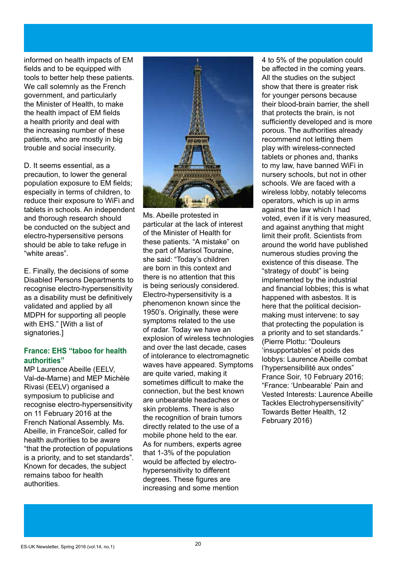informed on health impacts of EM fields and to be equipped with tools to better help these patients. We call solemnly as the French government, and particularly the Minister of Health, to make the health impact of EM fields a health priority and deal with the increasing number of these patients, who are mostly in big trouble and social insecurity.

D. It seems essential, as a precaution, to lower the general population exposure to EM fields; especially in terms of children, to reduce their exposure to WiFi and tablets in schools. An independent and thorough research should be conducted on the subject and electro-hypersensitive persons should be able to take refuge in "white areas".

E. Finally, the decisions of some Disabled Persons Departments to recognise electro-hypersensitivity as a disability must be definitively validated and applied by all MDPH for supporting all people with EHS." [With a list of signatories.1

#### **France: EHS "taboo for health authorities"**

MP Laurence Abeille (EELV, Val-de-Marne) and MEP Michèle Rivasi (EELV) organised a symposium to publicise and recognise electro-hypersensitivity on 11 February 2016 at the French National Assembly. Ms. Abeille, in FranceSoir, called for health authorities to be aware "that the protection of populations is a priority, and to set standards". Known for decades, the subject remains taboo for health authorities.



Ms. Abeille protested in particular at the lack of interest of the Minister of Health for these patients. "A mistake" on the part of Marisol Touraine, she said: "Today's children are born in this context and there is no attention that this is being seriously considered. Electro-hypersensitivity is a phenomenon known since the 1950's. Originally, these were symptoms related to the use of radar. Today we have an explosion of wireless technologies and over the last decade, cases of intolerance to electromagnetic waves have appeared. Symptoms are quite varied, making it sometimes difficult to make the connection, but the best known are unbearable headaches or skin problems. There is also the recognition of brain tumors directly related to the use of a mobile phone held to the ear. As for numbers, experts agree that 1-3% of the population would be affected by electrohypersensitivity to different degrees. These figures are increasing and some mention

4 to 5% of the population could be affected in the coming years. All the studies on the subject show that there is greater risk for younger persons because their blood-brain barrier, the shell that protects the brain, is not sufficiently developed and is more porous. The authorities already recommend not letting them play with wireless-connected tablets or phones and, thanks to my law, have banned WiFi in nursery schools, but not in other schools. We are faced with a wireless lobby, notably telecoms operators, which is up in arms against the law which I had voted, even if it is very measured, and against anything that might limit their profit. Scientists from around the world have published numerous studies proving the existence of this disease. The "strategy of doubt" is being implemented by the industrial and financial lobbies; this is what happened with asbestos. It is here that the political decisionmaking must intervene: to say that protecting the population is a priority and to set standards." (Pierre Plottu: "Douleurs 'insupportables' et poids des lobbys: Laurence Abeille combat l'hypersensibilité aux ondes" France Soir, 10 February 2016; "France: 'Unbearable' Pain and Vested Interests: Laurence Abeille Tackles Electrohypersensitivity" Towards Better Health, 12 February 2016)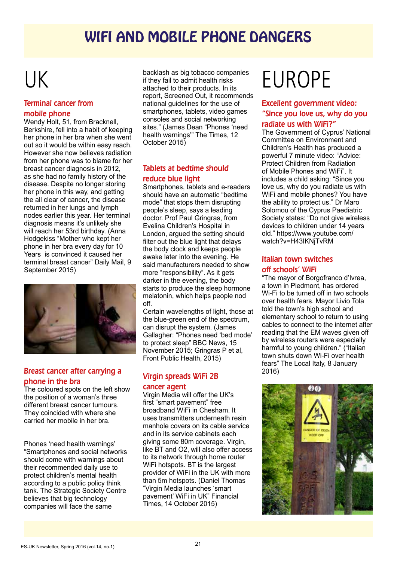### WIFI AND MOBILE PHONE DANGERS

## UK

#### Terminal cancer from mobile phone

Wendy Holt, 51, from Bracknell, Berkshire, fell into a habit of keeping her phone in her bra when she went out so it would be within easy reach. However she now believes radiation from her phone was to blame for her breast cancer diagnosis in 2012, as she had no family history of the disease. Despite no longer storing her phone in this way, and getting the all clear of cancer, the disease returned in her lungs and lymph nodes earlier this year. Her terminal diagnosis means it's unlikely she will reach her 53rd birthday. (Anna Hodgekiss "Mother who kept her phone in her bra every day for 10 Years is convinced it caused her terminal breast cancer" Daily Mail, 9 September 2015)



#### Breast cancer after carrying a phone in the bra

The coloured spots on the left show the position of a woman's three different breast cancer tumours. They coincided with where she carried her mobile in her bra.

Phones 'need health warnings' "Smartphones and social networks should come with warnings about their recommended daily use to protect children's mental health according to a public policy think tank. The Strategic Society Centre believes that big technology companies will face the same

backlash as big tobacco companies if they fail to admit health risks attached to their products. In its report, Screened Out, it recommends national guidelines for the use of smartphones, tablets, video games consoles and social networking sites." (James Dean "Phones 'need health warnings'" The Times, 12 October 2015)

#### Tablets at bedtime should reduce blue light

Smartphones, tablets and e-readers should have an automatic "bedtime mode" that stops them disrupting people's sleep, says a leading doctor. Prof Paul Gringras, from Evelina Children's Hospital in London, argued the setting should filter out the blue light that delays the body clock and keeps people awake later into the evening. He said manufacturers needed to show more "responsibility". As it gets darker in the evening, the body starts to produce the sleep hormone melatonin, which helps people nod off.

Certain wavelengths of light, those at the blue-green end of the spectrum, can disrupt the system. (James Gallagher: "Phones need 'bed mode' to protect sleep" BBC News, 15 November 2015; Gringras P et al, Front Public Health, 2015)

#### Virgin spreads WiFi 2B cancer agent

Virgin Media will offer the UK's first "smart pavement" free broadband WiFi in Chesham. It uses transmitters underneath resin manhole covers on its cable service and in its service cabinets each giving some 80m coverage. Virgin, like BT and O2, will also offer access to its network through home router WiFi hotspots. BT is the largest provider of WiFi in the UK with more than 5m hotspots. (Daniel Thomas "Virgin Media launches 'smart pavement' WiFi in UK" Financial Times, 14 October 2015)

## EUROPE

#### Excellent government video: "Since you love us, why do you radiate us with WiFi?"

The Government of Cyprus' National Committee on Environment and Children's Health has produced a powerful 7 minute video: "Advice: Protect Children from Radiation of Mobile Phones and WiFi". It includes a child asking: "Since you love us, why do you radiate us with WiFi and mobile phones? You have the ability to protect us." Dr Maro Solomou of the Cyprus Paediatric Society states: "Do not give wireless devices to children under 14 years old." https://www.youtube.com/ watch?v=H43IKNjTvRM

#### Italian town switches off schools' WiFi

"The mayor of Borgofranco d'Ivrea, a town in Piedmont, has ordered Wi-Fi to be turned off in two schools over health fears. Mayor Livio Tola told the town's high school and elementary school to return to using cables to connect to the internet after reading that the EM waves given off by wireless routers were especially harmful to young children." ("Italian town shuts down Wi-Fi over health fears" The Local Italy, 8 January 2016)

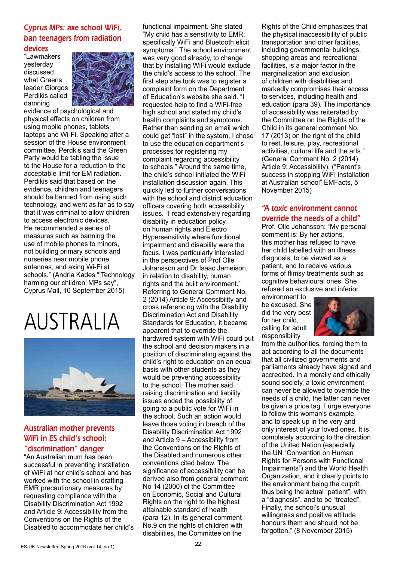#### Cyprus MPs: axe school WiFi, ban teenagers from radiation

#### devices

"Lawmakers yesterday discussed what Greens leader Giorgos Perdikis called damning



evidence of psychological and physical effects on children from using mobile phones, tablets, laptops and Wi-Fi. Speaking after a session of the House environment committee, Perdkis said the Green Party would be tabling the issue to the House for a reduction to the acceptable limit for EM radiation. Perdikis said that based on the evidence, children and teenagers should be banned from using such technology, and went as far as to say that it was criminal to allow children to access electronic devices. He recommended a series of measures such as banning the use of mobile phones to minors, not building primary schools and nurseries near mobile phone antennas, and axing Wi-Fi at schools." (Andria Kades "'Technology harming our children' MPs say", Cyprus Mail, 10 September 2015)

## AUSTRALIA



#### Australian mother prevents WiFi in ES child's school:

#### "discrimination" danger

"An Australian mum has been successful in preventing installation of WiFi at her child's school and has worked with the school in drafting EMR precautionary measures by requesting compliance with the Disability Discrimination Act 1992 and Article 9: Accessibility from the Conventions on the Rights of the Disabled to accommodate her child's functional impairment. She stated "My child has a sensitivity to EMR; specifically WiFi and Bluetooth elicit symptoms." The school environment was very good already, to change that by installing WiFi would exclude the child's access to the school. The first step she took was to register a complaint form on the Department of Education's website she said. "I requested help to find a WiFi-free high school and stated my child's health complaints and symptoms. Rather than sending an email which could get "lost" in the system, I chose to use the education department's processes for registering my complaint regarding accessibility to schools." Around the same time, the child's school initiated the WiFi installation discussion again. This quickly led to further conversations with the school and district education officers covering both accessibility issues. "I read extensively regarding disability in education policy, on human rights and Electro Hypersensitivity where functional impairment and disability were the focus. I was particularly interested in the perspectives of Prof Olle Johansson and Dr Isaac Jameison, in relation to disability, human rights and the built environment." Referring to General Comment No. 2 (2014) Article 9: Accessibility and cross referencing with the Disability Discrimination Act and Disability Standards for Education, it became apparent that to override the hardwired system with WiFi could put the school and decision makers in a position of discriminating against the child's right to education on an equal basis with other students as they would be preventing accessibility to the school. The mother said raising discrimination and liability issues ended the possibility of going to a public vote for WiFi in the school. Such an action would leave those voting in breach of the Disability Discrimination Act 1992 and Article 9 – Accessibility from the Conventions on the Rights of the Disabled and numerous other conventions cited below. The significance of accessibility can be derived also from general comment No 14 (2000) of the Committee on Economic, Social and Cultural Rights on the right to the highest attainable standard of health (para 12). In its general comment No.9 on the rights of children with disabilities, the Committee on the

Rights of the Child emphasizes that the physical inaccessibility of public transportation and other facilities, including governmental buildings, shopping areas and recreational facilities, is a major factor in the marginalization and exclusion of children with disabilities and markedly compromises their access to services, including health and education (para 39). The importance of accessibility was reiterated by the Committee on the Rights of the Child in its general comment No. 17 (2013) on the right of the child to rest, leisure, play, recreational activities, cultural life and the arts." (General Comment No. 2 (2014) Article 9: Accessibility). ("Parent's success in stopping WiFI installation at Australian school" EMFacts, 5 November 2015)

#### "A toxic environment cannot override the needs of a child"

Prof. Olle Johansson: "My personal comment is: By her actions, this mother has refused to have her child labelled with an illness diagnosis, to be viewed as a patient, and to receive various forms of flimsy treatments such as cognitive behavioural ones. She refused an exclusive and inferior

environment to be excused. She did the very best for her child, calling for adult responsibility



from the authorities, forcing them to act according to all the documents that all civilized governments and parliaments already have signed and accredited. In a morally and ethically sound society, a toxic environment can never be allowed to override the needs of a child, the latter can never be given a price tag. I urge everyone to follow this woman's example, and to speak up in the very and only interest of your loved ones. It is completely according to the direction of the United Nation (especially the UN "Convention on Human Rights for Persons with Functional Impairments") and the World Health Organization, and it clearly points to the environment being the culprit, thus being the actual "patient", with a "diagnosis", and to be "treated". Finally, the school's unusual willingness and positive attitude honours them and should not be forgotten." (8 November 2015)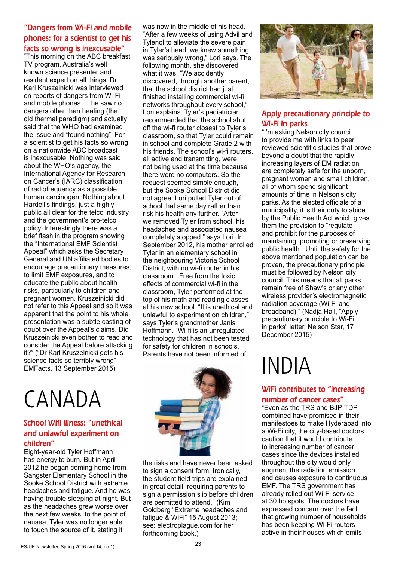#### "Dangers from Wi-Fi and mobile phones: for a scientist to get his facts so wrong is inexcusable"

"This morning on the ABC breakfast TV program, Australia's well known science presenter and resident expert on all things, Dr Karl Kruszeinicki was interviewed on reports of dangers from Wi-Fi and mobile phones … he saw no dangers other than heating (the old thermal paradigm) and actually said that the WHO had examined the issue and "found nothing". For a scientist to get his facts so wrong on a nationwide ABC broadcast is inexcusable. Nothing was said about the WHO's agency, the International Agency for Research on Cancer's (IARC) classification of radiofrequency as a possible human carcinogen. Nothing about Hardell's findings, just a highly public all clear for the telco industry and the government's pro-telco policy. Interestingly there was a brief flash in the program showing the "International EMF Scientist Appeal" which asks the Secretary General and UN affiliated bodies to encourage precautionary measures, to limit EMF exposures, and to educate the public about health risks, particularly to children and pregnant women. Kruszeinicki did not refer to this Appeal and so it was apparent that the point to his whole presentation was a subtle casting of doubt over the Appeal's claims. Did Kruszeinicki even bother to read and consider the Appeal before attacking it?" ("Dr Karl Kruszelnicki gets his science facts so terribly wrong" EMFacts, 13 September 2015)

#### was now in the middle of his head. "After a few weeks of using Advil and Tylenol to alleviate the severe pain in Tyler's head, we knew something was seriously wrong," Lori says. The following month, she discovered what it was. "We accidently discovered, through another parent, that the school district had just finished installing commercial wi-fi networks throughout every school," Lori explains. Tyler's pediatrician recommended that the school shut off the wi-fi router closest to Tyler's classroom, so that Tyler could remain in school and complete Grade 2 with his friends. The school's wi-fi routers, all active and transmitting, were not being used at the time because there were no computers. So the request seemed simple enough, but the Sooke School District did not agree. Lori pulled Tyler out of school that same day rather than risk his health any further. "After we removed Tyler from school, his headaches and associated nausea completely stopped," says Lori. In September 2012, his mother enrolled Tyler in an elementary school in the neighbouring Victoria School District, with no wi-fi router in his classroom. Free from the toxic effects of commercial wi-fi in the classroom, Tyler performed at the top of his math and reading classes at his new school. "It is unethical and unlawful to experiment on children," says Tyler's grandmother Janis Hoffmann. "Wi-fi is an unregulated technology that has not been tested for safety for children in schools. Parents have not been informed of

## CANADA

#### School Wifi illness: "unethical and unlawful experiment on children"

Eight-year-old Tyler Hoffmann has energy to burn. But in April 2012 he began coming home from Sangster Elementary School in the Sooke School District with extreme headaches and fatigue. And he was having trouble sleeping at night. But as the headaches grew worse over the next few weeks, to the point of nausea, Tyler was no longer able to touch the source of it, stating it



the risks and have never been asked to sign a consent form. Ironically, the student field trips are explained in great detail, requiring parents to sign a permission slip before children are permitted to attend." (Kim Goldberg "Extreme headaches and fatigue & WiFi" 15 August 2013; see: electroplague.com for her forthcoming book.)



#### Apply precautionary principle to Wi-Fi in parks

"I'm asking Nelson city council to provide me with links to peer reviewed scientific studies that prove beyond a doubt that the rapidly increasing layers of EM radiation are completely safe for the unborn, pregnant women and small children, all of whom spend significant amounts of time in Nelson's city parks. As the elected officials of a municipality, it is their duty to abide by the Public Health Act which gives them the provision to "regulate and prohibit for the purposes of maintaining, promoting or preserving public health." Until the safety for the above mentioned population can be proven, the precautionary principle must be followed by Nelson city council. This means that all parks remain free of Shaw's or any other wireless provider's electromagnetic radiation coverage (Wi-Fi and broadband)." (Nadja Hall, "Apply precautionary principle to Wi-Fi in parks" letter, Nelson Star, 17 December 2015)

## INDIA

#### WiFi contributes to "increasing number of cancer cases"

"Even as the TRS and BJP-TDP combined have promised in their manifestoes to make Hyderabad into a Wi-Fi city, the city-based doctors caution that it would contribute to increasing number of cancer cases since the devices installed throughout the city would only augment the radiation emission and causes exposure to continuous EMF. The TRS government has already rolled out Wi-Fi service at 30 hotspots. The doctors have expressed concern over the fact that growing number of households has been keeping Wi-Fi routers active in their houses which emits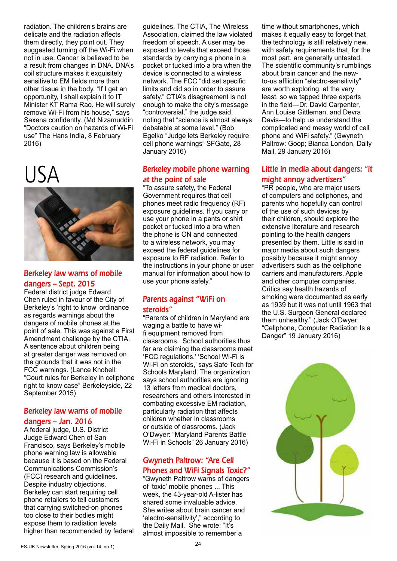radiation. The children's brains are delicate and the radiation affects them directly, they point out. They suggested turning off the Wi-Fi when not in use. Cancer is believed to be a result from changes in DNA. DNA's coil structure makes it exquisitely sensitive to EM fields more than other tissue in the body. "If I get an opportunity, I shall explain it to IT Minister KT Rama Rao. He will surely remove Wi-Fi from his house," says Saxena confidently. (Md Nizamuddin "Doctors caution on hazards of Wi-Fi use" The Hans India, 8 February 2016)

## USA



#### Berkeley law warns of mobile dangers – Sept. 2015

Federal district judge Edward Chen ruled in favour of the City of Berkeley's 'right to know' ordinance as regards warnings about the dangers of mobile phones at the point of sale. This was against a First Amendment challenge by the CTIA. A sentence about children being at greater danger was removed on the grounds that it was not in the FCC warnings. (Lance Knobell: "Court rules for Berkeley in cellphone right to know case" Berkeleyside, 22 September 2015)

#### Berkeley law warns of mobile dangers – Jan. 2016

A federal judge, U.S. District Judge Edward Chen of San Francisco, says Berkeley's mobile phone warning law is allowable because it is based on the Federal Communications Commission's (FCC) research and guidelines. Despite industry objections, Berkeley can start requiring cell phone retailers to tell customers that carrying switched-on phones too close to their bodies might expose them to radiation levels higher than recommended by federal guidelines. The CTIA, The Wireless Association, claimed the law violated freedom of speech. A user may be exposed to levels that exceed those standards by carrying a phone in a pocket or tucked into a bra when the device is connected to a wireless network. The FCC "did set specific limits and did so in order to assure safety." CTIA's disagreement is not enough to make the city's message "controversial," the judge said, noting that "science is almost always debatable at some level." (Bob Egelko "Judge lets Berkeley require cell phone warnings" SFGate, 28 January 2016)

#### Berkeley mobile phone warning at the point of sale

"To assure safety, the Federal Government requires that cell phones meet radio frequency (RF) exposure guidelines. If you carry or use your phone in a pants or shirt pocket or tucked into a bra when the phone is ON and connected to a wireless network, you may exceed the federal guidelines for exposure to RF radiation. Refer to the instructions in your phone or user manual for information about how to use your phone safely."

#### Parents against "WiFi on steroids"

"Parents of children in Maryland are waging a battle to have wifi equipment removed from classrooms. School authorities thus far are claiming the classrooms meet 'FCC regulations.' 'School Wi-Fi is Wi-Fi on steroids,' says Safe Tech for Schools Maryland. The organization says school authorities are ignoring 13 letters from medical doctors, researchers and others interested in combating excessive EM radiation, particularly radiation that affects children whether in classrooms or outside of classrooms. (Jack O'Dwyer: "Maryland Parents Battle Wi-Fi in Schools" 26 January 2016)

#### Gwyneth Paltrow: "Are Cell Phones and WiFi Signals Toxic?"

"Gwyneth Paltrow warns of dangers of 'toxic' mobile phones ... This week, the 43-year-old A-lister has shared some invaluable advice. She writes about brain cancer and 'electro-sensitivity'," according to the Daily Mail. She wrote: "It's almost impossible to remember a

time without smartphones, which makes it equally easy to forget that the technology is still relatively new, with safety requirements that, for the most part, are generally untested. The scientific community's rumblings about brain cancer and the newto-us affliction "electro-sensitivity" are worth exploring, at the very least, so we tapped three experts in the field—Dr. David Carpenter, Ann Louise Gittleman, and Devra Davis—to help us understand the complicated and messy world of cell phone and WiFi safety." (Gwyneth Paltrow: Goop; Bianca London, Daily Mail, 29 January 2016)

#### Little in media about dangers: "it might annoy advertisers"

"PR people, who are major users of computers and cellphones, and parents who hopefully can control of the use of such devices by their children, should explore the extensive literature and research pointing to the health dangers presented by them. Little is said in major media about such dangers possibly because it might annoy advertisers such as the cellphone carriers and manufacturers, Apple and other computer companies. Critics say health hazards of smoking were documented as early as 1939 but it was not until 1963 that the U.S. Surgeon General declared them unhealthy." (Jack O'Dwyer: "Cellphone, Computer Radiation Is a Danger" 19 January 2016)

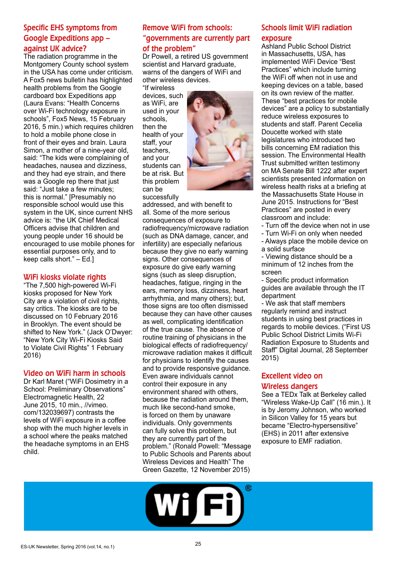#### Specific EHS symptoms from Google Expeditions app – against UK advice?

The radiation programme in the Montgomery County school system in the USA has come under criticism. A Fox5 news bulletin has highlighted health problems from the Google cardboard box Expeditions app (Laura Evans: "Health Concerns over Wi-Fi technology exposure in schools", Fox5 News, 15 February 2016, 5 min.) which requires children to hold a mobile phone close in front of their eyes and brain. Laura Simon, a mother of a nine-year old, said: "The kids were complaining of headaches, nausea and dizziness, and they had eye strain, and there was a Google rep there that just said: "Just take a few minutes; this is normal." [Presumably no responsible school would use this system in the UK, since current NHS advice is: "the UK Chief Medical Officers advise that children and young people under 16 should be encouraged to use mobile phones for essential purposes only, and to keep calls short." – Ed.]

#### WiFi kiosks violate rights

"The 7,500 high-powered Wi-Fi kiosks proposed for New York City are a violation of civil rights. say critics. The kiosks are to be discussed on 10 February 2016 in Brooklyn. The event should be shifted to New York." (Jack O'Dwyer: "New York City Wi-Fi Kiosks Said to Violate Civil Rights" 1 February 2016)

#### Video on WiFi harm in schools

Dr Karl Maret ("WiFi Dosimetry in a School: Preliminary Observations" Electromagnetic Health, 22 June 2015, 10 min., //vimeo. com/132039697) contrasts the levels of WiFi exposure in a coffee shop with the much higher levels in a school where the peaks matched the headache symptoms in an EHS child.

#### Remove WiFi from schools: "governments are currently part of the problem"

Dr Powell, a retired US government scientist and Harvard graduate, warns of the dangers of WiFi and other wireless devices.

"If wireless devices, such as WiFi, are used in your schools, then the health of your staff, your teachers, and your students can be at risk. But this problem can be successfully



addressed, and with benefit to all. Some of the more serious consequences of exposure to radiofrequency/microwave radiation (such as DNA damage, cancer, and infertility) are especially nefarious because they give no early warning signs. Other consequences of exposure do give early warning signs (such as sleep disruption, headaches, fatigue, ringing in the ears, memory loss, dizziness, heart arrhythmia, and many others); but, those signs are too often dismissed because they can have other causes as well, complicating identification of the true cause. The absence of routine training of physicians in the biological effects of radiofrequency/ microwave radiation makes it difficult for physicians to identify the causes and to provide responsive guidance. Even aware individuals cannot control their exposure in any environment shared with others, because the radiation around them, much like second-hand smoke, is forced on them by unaware individuals. Only governments can fully solve this problem, but they are currently part of the problem." (Ronald Powell: "Message to Public Schools and Parents about Wireless Devices and Health" The Green Gazette, 12 November 2015)

#### Schools limit WiFi radiation exposure

Ashland Public School District in Massachusetts, USA, has implemented WiFi Device "Best Practices" which include turning the WiFi off when not in use and keeping devices on a table, based on its own review of the matter. These "best practices for mobile devices" are a policy to substantially reduce wireless exposures to students and staff. Parent Cecelia Doucette worked with state legislatures who introduced two bills concerning EM radiation this session. The Environmental Health Trust submitted written testimony on MA Senate Bill 1222 after expert scientists presented information on wireless health risks at a briefing at the Massachusetts State House in June 2015. Instructions for "Best Practices" are posted in every classroom and include:

- Turn off the device when not in use
- Turn Wi-Fi on only when needed
- Always place the mobile device on a solid surface

- Viewing distance should be a minimum of 12 inches from the screen

- Specific product information guides are available through the IT department

- We ask that staff members regularly remind and instruct students in using best practices in regards to mobile devices. ("First US Public School District Limits Wi-Fi Radiation Exposure to Students and Staff" Digital Journal, 28 September 2015)

### Excellent video on

#### Wireless dangers

See a TEDx Talk at Berkeley called "Wireless Wake-Up Call" (16 min.). It is by Jeromy Johnson, who worked in Silicon Valley for 15 years but became "Electro-hypersensitive" (EHS) in 2011 after extensive exposure to EMF radiation.

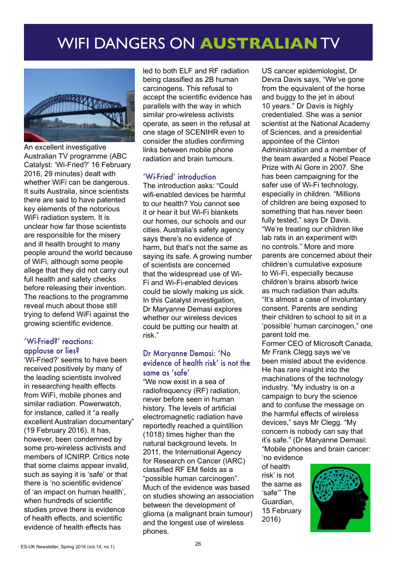## WIFI DANGERS ON **AUSTRALIAN** TV



An excellent investigative Australian TV programme (ABC Catalyst: 'Wi-Fried?' 16 February 2016, 29 minutes) dealt with whether WiFi can be dangerous. It suits Australia, since scientists there are said to have patented key elements of the notorious WiFi radiation system. It is unclear how far those scientists are responsible for the misery and ill health brought to many people around the world because of WiFi, although some people allege that they did not carry out full health and safety checks before releasing their invention. The reactions to the programme reveal much about those still trying to defend WiFi against the growing scientific evidence.

#### 'Wi-Fried?' reactions: applause or lies?

'Wi-Fried?' seems to have been received positively by many of the leading scientists involved in researching health effects from WiFi, mobile phones and similar radiation. Powerwatch, for instance, called it "a really excellent Australian documentary" (19 February 2016). It has, however, been condemned by some pro-wireless activists and members of ICNIRP. Critics note that some claims appear invalid, such as saying it is 'safe' or that there is 'no scientific evidence' of 'an impact on human health', when hundreds of scientific studies prove there is evidence of health effects, and scientific evidence of health effects has

led to both ELF and RF radiation being classified as 2B human carcinogens. This refusal to accept the scientific evidence has parallels with the way in which similar pro-wireless activists operate, as seen in the refusal at one stage of SCENIHR even to consider the studies confirming links between mobile phone radiation and brain tumours.

#### 'Wi-Fried' introduction

The introduction asks: "Could wifi-enabled devices be harmful to our health? You cannot see it or hear it but Wi-Fi blankets our homes, our schools and our cities. Australia's safety agency says there's no evidence of harm, but that's not the same as saying its safe. A growing number of scientists are concerned that the widespread use of Wi-Fi and Wi-Fi-enabled devices could be slowly making us sick. In this Catalyst investigation, Dr Maryanne Demasi explores whether our wireless devices could be putting our health at risk."

#### Dr Maryanne Demasi: 'No evidence of health risk' is not the same as 'safe'

"We now exist in a sea of radiofrequency (RF) radiation, never before seen in human history. The levels of artificial electromagnetic radiation have reportedly reached a quintillion (1018) times higher than the natural background levels. In 2011, the International Agency for Research on Cancer (IARC) classified RF EM fields as a "possible human carcinogen". Much of the evidence was based on studies showing an association between the development of glioma (a malignant brain tumour) and the longest use of wireless phones.

US cancer epidemiologist, Dr Devra Davis says, "We've gone from the equivalent of the horse and buggy to the jet in about 10 years." Dr Davis is highly credentialed. She was a senior scientist at the National Academy of Sciences, and a presidential appointee of the Clinton Administration and a member of the team awarded a Nobel Peace Prize with Al Gore in 2007. She has been campaigning for the safer use of Wi-Fi technology, especially in children. "Millions of children are being exposed to something that has never been fully tested," says Dr Davis. "We're treating our children like lab rats in an experiment with no controls." More and more parents are concerned about their children's cumulative exposure to Wi-Fi, especially because children's brains absorb twice as much radiation than adults. "It's almost a case of involuntary consent. Parents are sending their children to school to sit in a 'possible' human carcinogen," one parent told me.

Former CEO of Microsoft Canada, Mr Frank Clegg says we've been misled about the evidence. He has rare insight into the machinations of the technology industry. "My industry is on a campaign to bury the science and to confuse the message on the harmful effects of wireless devices," says Mr Clegg. "My concern is nobody can say that it's safe." (Dr Maryanne Demasi: "Mobile phones and brain cancer:

'no evidence of health risk' is not the same as 'safe'" The Guardian, 15 February 2016)

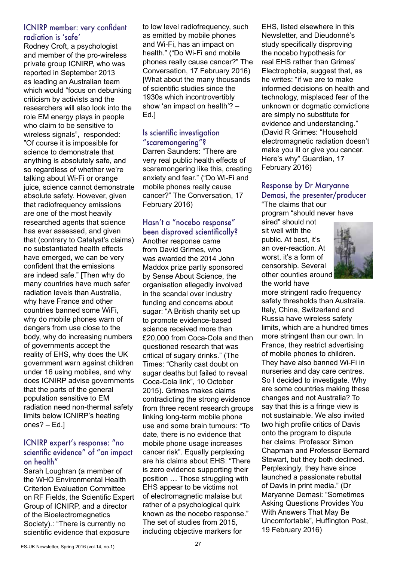#### ICNIRP member: very confident radiation is 'safe'

Rodney Croft, a psychologist and member of the pro-wireless private group ICNIRP, who was reported in September 2013 as leading an Australian team which would "focus on debunking criticism by activists and the researchers will also look into the role EM energy plays in people who claim to be sensitive to wireless signals", responded: "Of course it is impossible for science to demonstrate that anything is absolutely safe, and so regardless of whether we're talking about Wi-Fi or orange juice, science cannot demonstrate absolute safety. However, given that radiofrequency emissions are one of the most heavily researched agents that science has ever assessed, and given that (contrary to Catalyst's claims) no substantiated health effects have emerged, we can be very confident that the emissions are indeed safe." [Then why do many countries have much safer radiation levels than Australia, why have France and other countries banned some WiFi, why do mobile phones warn of dangers from use close to the body, why do increasing numbers of governments accept the reality of EHS, why does the UK government warn against children under 16 using mobiles, and why does ICNIRP advise governments that the parts of the general population sensitive to EM radiation need non-thermal safety limits below ICNIRP's heating ones? – Ed.]

#### ICNIRP expert's response: "no scientific evidence" of "an impact on health"

Sarah Loughran (a member of the WHO Environmental Health Criterion Evaluation Committee on RF Fields, the Scientific Expert Group of ICNIRP, and a director of the Bioelectromagnetics Society).: "There is currently no scientific evidence that exposure

to low level radiofrequency, such as emitted by mobile phones and Wi-Fi, has an impact on health." ("Do Wi-Fi and mobile phones really cause cancer?" The Conversation, 17 February 2016) [What about the many thousands of scientific studies since the 1930s which incontrovertibly show 'an impact on health'? – Ed.]

#### Is scientific investigation "scaremongering"?

Darren Saunders: "There are very real public health effects of scaremongering like this, creating anxiety and fear." ("Do Wi-Fi and mobile phones really cause cancer?" The Conversation, 17 February 2016)

#### Hasn't a "nocebo response" been disproved scientifically?

Another response came from David Grimes, who was awarded the 2014 John Maddox prize partly sponsored by Sense About Science, the organisation allegedly involved in the scandal over industry funding and concerns about sugar: "A British charity set up to promote evidence-based science received more than £20,000 from Coca-Cola and then questioned research that was critical of sugary drinks." (The Times: "Charity cast doubt on sugar deaths but failed to reveal Coca-Cola link", 10 October 2015). Grimes makes claims contradicting the strong evidence from three recent research groups linking long-term mobile phone use and some brain tumours: "To date, there is no evidence that mobile phone usage increases cancer risk". Equally perplexing are his claims about EHS: "There is zero evidence supporting their position … Those struggling with EHS appear to be victims not of electromagnetic malaise but rather of a psychological quirk known as the nocebo response." The set of studies from 2015, including objective markers for

EHS, listed elsewhere in this Newsletter, and Dieudonné's study specifically disproving the nocebo hypothesis for real EHS rather than Grimes' Electrophobia, suggest that, as he writes: "if we are to make informed decisions on health and technology, misplaced fear of the unknown or dogmatic convictions are simply no substitute for evidence and understanding." (David R Grimes: "Household electromagnetic radiation doesn't make you ill or give you cancer. Here's why" Guardian, 17 February 2016)

#### Response by Dr Maryanne Demasi, the presenter/producer

"The claims that our program "should never have

aired" should not sit well with the public. At best, it's an over-reaction. At worst, it's a form of censorship. Several other counties around the world have



more stringent radio frequency safety thresholds than Australia. Italy, China, Switzerland and Russia have wireless safety limits, which are a hundred times more stringent than our own. In France, they restrict advertising of mobile phones to children. They have also banned Wi-Fi in nurseries and day care centres. So I decided to investigate. Why are some countries making these changes and not Australia? To say that this is a fringe view is not sustainable. We also invited two high profile critics of Davis onto the program to dispute her claims: Professor Simon Chapman and Professor Bernard Stewart, but they both declined. Perplexingly, they have since launched a passionate rebuttal of Davis in print media." (Dr Maryanne Demasi: "Sometimes Asking Questions Provides You With Answers That May Be Uncomfortable", Huffington Post, 19 February 2016)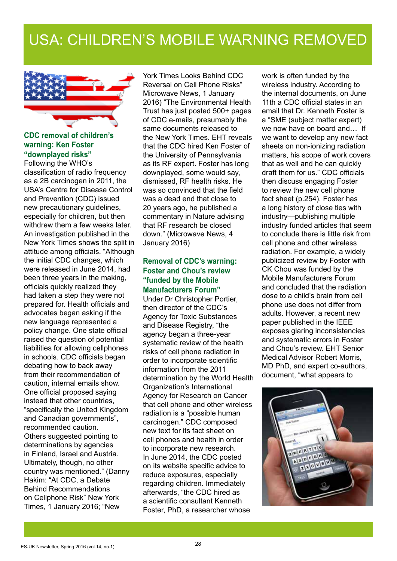### USA: CHILDREN'S MOBILE WARNING REMOVED



#### **CDC removal of children's warning: Ken Foster "downplayed risks"**

Following the WHO's classification of radio frequency as a 2B carcinogen in 2011, the USA's Centre for Disease Control and Prevention (CDC) issued new precautionary guidelines, especially for children, but then withdrew them a few weeks later. An investigation published in the New York Times shows the split in attitude among officials. "Although the initial CDC changes, which were released in June 2014, had been three years in the making, officials quickly realized they had taken a step they were not prepared for. Health officials and advocates began asking if the new language represented a policy change. One state official raised the question of potential liabilities for allowing cellphones in schools. CDC officials began debating how to back away from their recommendation of caution, internal emails show. One official proposed saying instead that other countries, "specifically the United Kingdom and Canadian governments", recommended caution. Others suggested pointing to determinations by agencies in Finland, Israel and Austria. Ultimately, though, no other country was mentioned." (Danny Hakim: "At CDC, a Debate Behind Recommendations on Cellphone Risk" New York Times, 1 January 2016; "New

York Times Looks Behind CDC Reversal on Cell Phone Risks" Microwave News, 1 January 2016) "The Environmental Health Trust has just posted 500+ pages of CDC e-mails, presumably the same documents released to the New York Times. EHT reveals that the CDC hired Ken Foster of the University of Pennsylvania as its RF expert. Foster has long downplayed, some would say, dismissed, RF health risks. He was so convinced that the field was a dead end that close to 20 years ago, he published a commentary in Nature advising that RF research be closed down." (Microwave News, 4 January 2016)

#### **Removal of CDC's warning: Foster and Chou's review "funded by the Mobile Manufacturers Forum"**

Under Dr Christopher Portier, then director of the CDC's Agency for Toxic Substances and Disease Registry, "the agency began a three-year systematic review of the health risks of cell phone radiation in order to incorporate scientific information from the 2011 determination by the World Health Organization's International Agency for Research on Cancer that cell phone and other wireless radiation is a "possible human carcinogen." CDC composed new text for its fact sheet on cell phones and health in order to incorporate new research. In June 2014, the CDC posted on its website specific advice to reduce exposures, especially regarding children. Immediately afterwards, "the CDC hired as a scientific consultant Kenneth Foster, PhD, a researcher whose

work is often funded by the wireless industry. According to the internal documents, on June 11th a CDC official states in an email that Dr. Kenneth Foster is a "SME (subject matter expert) we now have on board and… If we want to develop any new fact sheets on non-ionizing radiation matters, his scope of work covers that as well and he can quickly draft them for us." CDC officials then discuss engaging Foster to review the new cell phone fact sheet (p.254). Foster has a long history of close ties with industry—publishing multiple industry funded articles that seem to conclude there is little risk from cell phone and other wireless radiation. For example, a widely publicized review by Foster with CK Chou was funded by the Mobile Manufacturers Forum and concluded that the radiation dose to a child's brain from cell phone use does not differ from adults. However, a recent new paper published in the IEEE exposes glaring inconsistencies and systematic errors in Foster and Chou's review. EHT Senior Medical Advisor Robert Morris, MD PhD, and expert co-authors, document, "what appears to

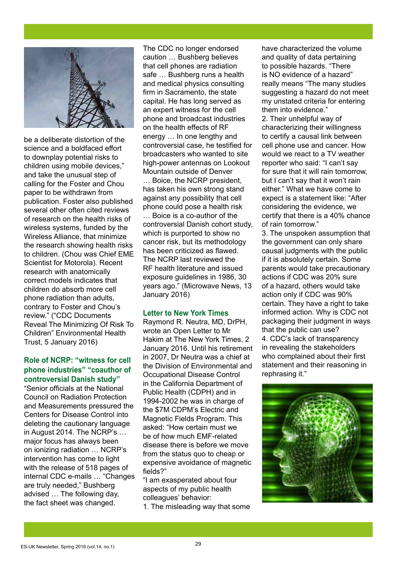

be a deliberate distortion of the science and a boldfaced effort to downplay potential risks to children using mobile devices," and take the unusual step of calling for the Foster and Chou paper to be withdrawn from publication. Foster also published several other often cited reviews of research on the health risks of wireless systems, funded by the Wireless Alliance, that minimize the research showing health risks to children. (Chou was Chief EME Scientist for Motorola). Recent research with anatomically correct models indicates that children do absorb more cell phone radiation than adults, contrary to Foster and Chou's review." ("CDC Documents Reveal The Minimizing Of Risk To Children" Environmental Health Trust, 5 January 2016)

#### **Role of NCRP: "witness for cell phone industries" "coauthor of controversial Danish study"**

"Senior officials at the National Council on Radiation Protection and Measurements pressured the Centers for Disease Control into deleting the cautionary language in August 2014. The NCRP's … major focus has always been on ionizing radiation … NCRP's intervention has come to light with the release of 518 pages of internal CDC e-mails … "Changes are truly needed," Bushberg advised … The following day, the fact sheet was changed.

The CDC no longer endorsed caution … Bushberg believes that cell phones are radiation safe … Bushberg runs a health and medical physics consulting firm in Sacramento, the state capital. He has long served as an expert witness for the cell phone and broadcast industries on the health effects of RF energy … In one lengthy and controversial case, he testified for broadcasters who wanted to site high-power antennas on Lookout Mountain outside of Denver … Boice, the NCRP president, has taken his own strong stand against any possibility that cell phone could pose a health risk … Boice is a co-author of the controversial Danish cohort study, which is purported to show no cancer risk, but its methodology has been criticized as flawed. The NCRP last reviewed the RF health literature and issued exposure guidelines in 1986, 30 years ago." (Microwave News, 13 January 2016)

#### **Letter to New York Times**

Raymond R. Neutra, MD, DrPH, wrote an Open Letter to Mr Hakim at The New York Times, 2 January 2016. Until his retirement in 2007, Dr Neutra was a chief at the Division of Environmental and Occupational Disease Control in the California Department of Public Health (CDPH) and in 1994-2002 he was in charge of the \$7M CDPM's Electric and Magnetic Fields Program. This asked: "How certain must we be of how much EMF-related disease there is before we move from the status quo to cheap or expensive avoidance of magnetic fields?"

"I am exasperated about four aspects of my public health colleagues' behavior: 1. The misleading way that some

have characterized the volume and quality of data pertaining to possible hazards. "There is NO evidence of a hazard" really means "The many studies suggesting a hazard do not meet my unstated criteria for entering them into evidence."

2. Their unhelpful way of characterizing their willingness to certify a causal link between cell phone use and cancer. How would we react to a TV weather reporter who said: "I can't say for sure that it will rain tomorrow, but I can't say that it won't rain either." What we have come to expect is a statement like: "After considering the evidence, we certify that there is a 40% chance of rain tomorrow."

3. The unspoken assumption that the government can only share causal judgments with the public if it is absolutely certain. Some parents would take precautionary actions if CDC was 20% sure of a hazard, others would take action only if CDC was 90% certain. They have a right to take informed action. Why is CDC not packaging their judgment in ways that the public can use? 4. CDC's lack of transparency in revealing the stakeholders who complained about their first statement and their reasoning in rephrasing it."

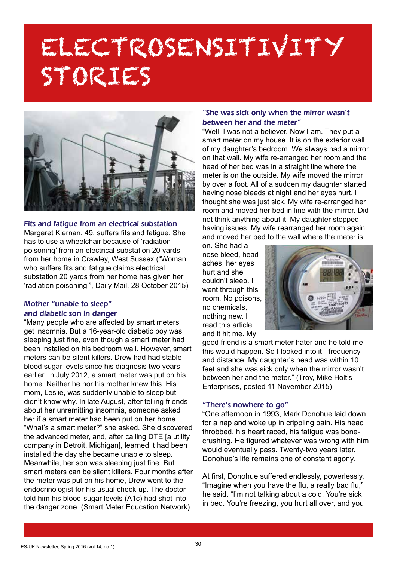# ELECTROSENSITIVITY STORIES



#### Fits and fatigue from an electrical substation

Margaret Kiernan, 49, suffers fits and fatigue. She has to use a wheelchair because of 'radiation poisoning' from an electrical substation 20 yards from her home in Crawley, West Sussex ("Woman who suffers fits and fatigue claims electrical substation 20 yards from her home has given her 'radiation poisoning'", Daily Mail, 28 October 2015)

#### Mother "unable to sleep" and diabetic son in danger

"Many people who are affected by smart meters get insomnia. But a 16-year-old diabetic boy was sleeping just fine, even though a smart meter had been installed on his bedroom wall. However, smart meters can be silent killers. Drew had had stable blood sugar levels since his diagnosis two years earlier. In July 2012, a smart meter was put on his home. Neither he nor his mother knew this. His mom, Leslie, was suddenly unable to sleep but didn't know why. In late August, after telling friends about her unremitting insomnia, someone asked her if a smart meter had been put on her home. "What's a smart meter?" she asked. She discovered the advanced meter, and, after calling DTE [a utility company in Detroit, Michigan], learned it had been installed the day she became unable to sleep. Meanwhile, her son was sleeping just fine. But smart meters can be silent killers. Four months after the meter was put on his home, Drew went to the endocrinologist for his usual check-up. The doctor told him his blood-sugar levels (A1c) had shot into the danger zone. (Smart Meter Education Network)

#### "She was sick only when the mirror wasn't between her and the meter"

"Well, I was not a believer. Now I am. They put a smart meter on my house. It is on the exterior wall of my daughter's bedroom. We always had a mirror on that wall. My wife re-arranged her room and the head of her bed was in a straight line where the meter is on the outside. My wife moved the mirror by over a foot. All of a sudden my daughter started having nose bleeds at night and her eyes hurt. I thought she was just sick. My wife re-arranged her room and moved her bed in line with the mirror. Did not think anything about it. My daughter stopped having issues. My wife rearranged her room again and moved her bed to the wall where the meter is

on. She had a nose bleed, head aches, her eyes hurt and she couldn't sleep. I went through this room. No poisons, no chemicals, nothing new. I read this article and it hit me. My



good friend is a smart meter hater and he told me this would happen. So I looked into it - frequency and distance. My daughter's head was within 10 feet and she was sick only when the mirror wasn't between her and the meter." (Troy, Mike Holt's Enterprises, posted 11 November 2015)

#### "There's nowhere to go"

"One afternoon in 1993, Mark Donohue laid down for a nap and woke up in crippling pain. His head throbbed, his heart raced, his fatigue was bonecrushing. He figured whatever was wrong with him would eventually pass. Twenty-two years later, Donohue's life remains one of constant agony.

At first, Donohue suffered endlessly, powerlessly. "Imagine when you have the flu, a really bad flu," he said. "I'm not talking about a cold. You're sick in bed. You're freezing, you hurt all over, and you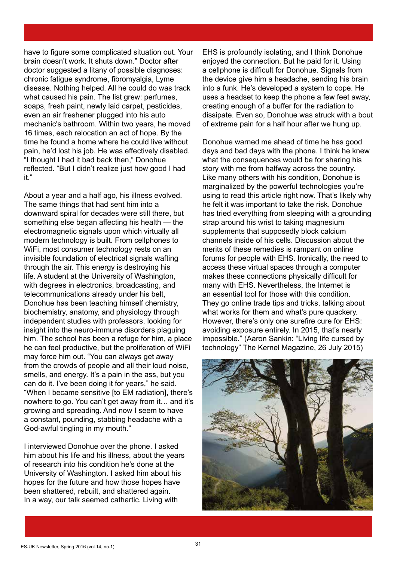have to figure some complicated situation out. Your brain doesn't work. It shuts down." Doctor after doctor suggested a litany of possible diagnoses: chronic fatigue syndrome, fibromyalgia, Lyme disease. Nothing helped. All he could do was track what caused his pain. The list grew: perfumes, soaps, fresh paint, newly laid carpet, pesticides, even an air freshener plugged into his auto mechanic's bathroom. Within two years, he moved 16 times, each relocation an act of hope. By the time he found a home where he could live without pain, he'd lost his job. He was effectively disabled. "I thought I had it bad back then," Donohue reflected. "But I didn't realize just how good I had it."

About a year and a half ago, his illness evolved. The same things that had sent him into a downward spiral for decades were still there, but something else began affecting his health — the electromagnetic signals upon which virtually all modern technology is built. From cellphones to WiFi, most consumer technology rests on an invisible foundation of electrical signals wafting through the air. This energy is destroying his life. A student at the University of Washington, with degrees in electronics, broadcasting, and telecommunications already under his belt, Donohue has been teaching himself chemistry, biochemistry, anatomy, and physiology through independent studies with professors, looking for insight into the neuro-immune disorders plaguing him. The school has been a refuge for him, a place he can feel productive, but the proliferation of WiFi may force him out. "You can always get away from the crowds of people and all their loud noise, smells, and energy. It's a pain in the ass, but you can do it. I've been doing it for years," he said. "When I became sensitive [to EM radiation], there's nowhere to go. You can't get away from it… and it's growing and spreading. And now I seem to have a constant, pounding, stabbing headache with a God-awful tingling in my mouth."

I interviewed Donohue over the phone. I asked him about his life and his illness, about the years of research into his condition he's done at the University of Washington. I asked him about his hopes for the future and how those hopes have been shattered, rebuilt, and shattered again. In a way, our talk seemed cathartic. Living with

EHS is profoundly isolating, and I think Donohue enjoyed the connection. But he paid for it. Using a cellphone is difficult for Donohue. Signals from the device give him a headache, sending his brain into a funk. He's developed a system to cope. He uses a headset to keep the phone a few feet away, creating enough of a buffer for the radiation to dissipate. Even so, Donohue was struck with a bout of extreme pain for a half hour after we hung up.

Donohue warned me ahead of time he has good days and bad days with the phone. I think he knew what the consequences would be for sharing his story with me from halfway across the country. Like many others with his condition, Donohue is marginalized by the powerful technologies you're using to read this article right now. That's likely why he felt it was important to take the risk. Donohue has tried everything from sleeping with a grounding strap around his wrist to taking magnesium supplements that supposedly block calcium channels inside of his cells. Discussion about the merits of these remedies is rampant on online forums for people with EHS. Ironically, the need to access these virtual spaces through a computer makes these connections physically difficult for many with EHS. Nevertheless, the Internet is an essential tool for those with this condition. They go online trade tips and tricks, talking about what works for them and what's pure quackery. However, there's only one surefire cure for EHS: avoiding exposure entirely. In 2015, that's nearly impossible." (Aaron Sankin: "Living life cursed by technology" The Kernel Magazine, 26 July 2015)